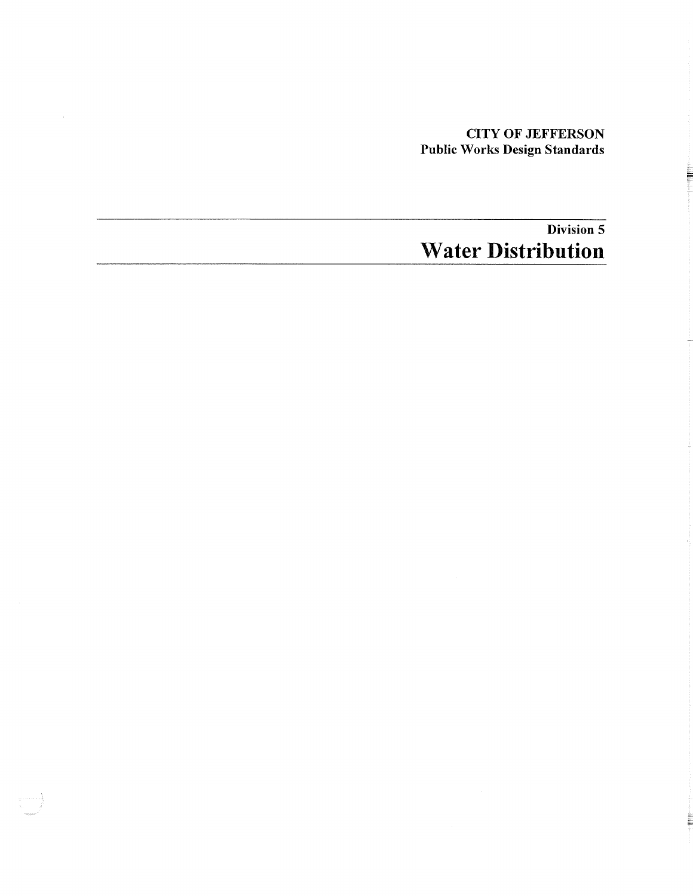# CITY OF JEFFERSON Public Works Design Standards

È

# Division 5 **Water Distribution**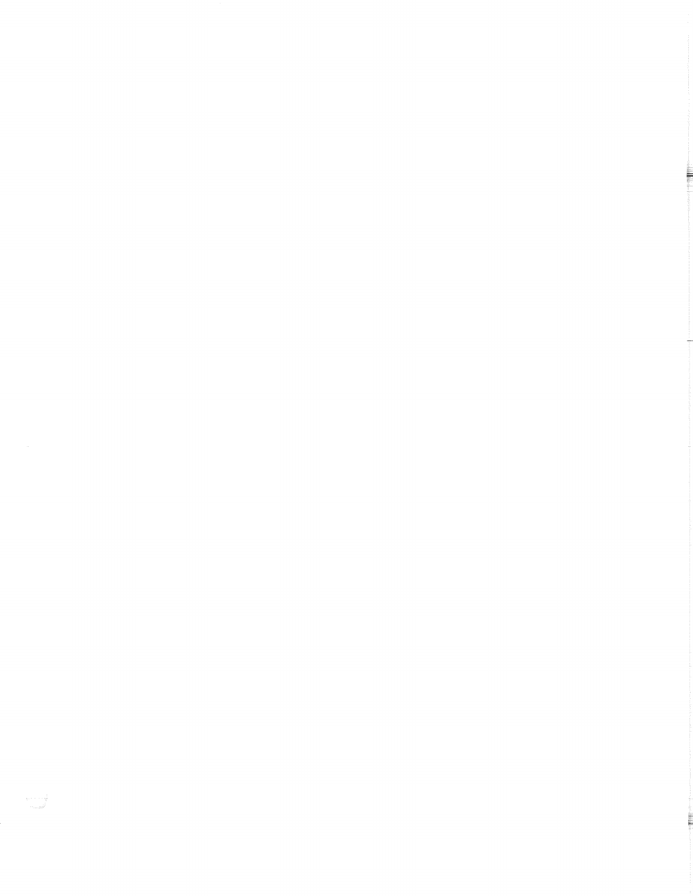$\label{eq:1} \begin{array}{c} \left\langle \psi\psi\psi\psi\psi\psi\right\rangle \\ \left\langle \psi\psi\psi\psi\right\rangle \end{array}$ 

**TILLE**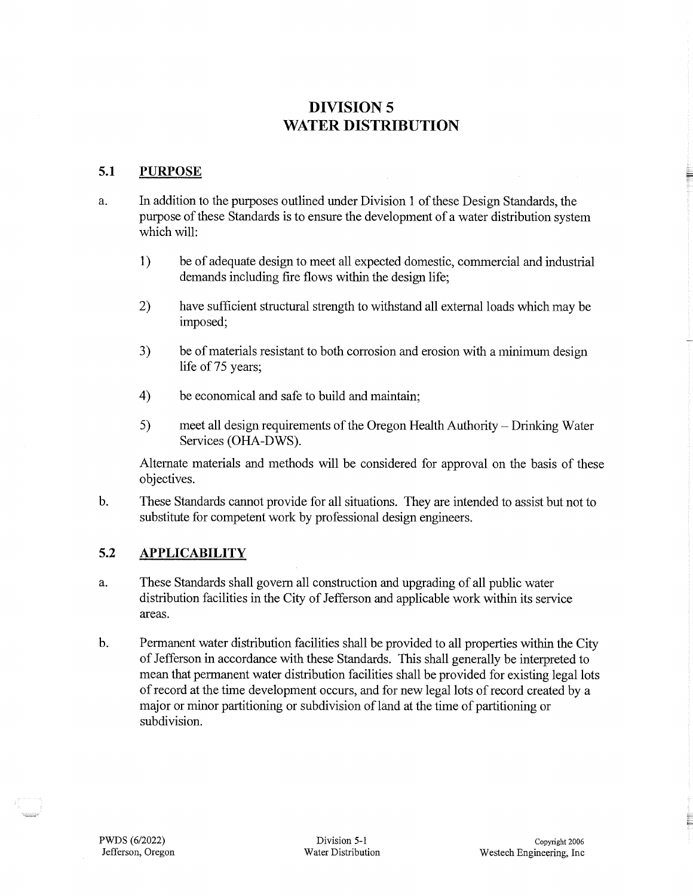# **DIVISION 5 WATER DISTRIBUTION**

#### **5.1 PURPOSE**

- a. In addition to the purposes outlined under Division 1 of these Design Standards, the purpose of these Standards is to ensure the development of a water distribution system which will:
	- 1) be of adequate design to meet all expected domestic, commercial and industrial demands including fire flows within the design life;
	- 2) have sufficient structural strength to withstand all external loads which may be imposed;
	- 3) be of materials resistant to both corrosion and erosion with a minimum design life of 75 years;
	- 4) be economical and safe to build and maintain;
	- 5) meet all design requirements of the Oregon Health Authority Drinking Water Services (OHA-DWS).

Alternate materials and methods will be considered for approval on the basis of these objectives.

b. These Standards cannot provide for all situations. They are intended to assist but not to substitute for competent work by professional design engineers.

#### 5.2 **APPLICABILITY**

- a. These Standards shall govern all construction and upgrading of all public water distribution facilities in the City of Jefferson and applicable work within its service areas.
- b. Permanent water distribution facilities shall be provided to all properties within the City of Jefferson in accordance with these Standards. This shall generally be interpreted to mean that permanent water distribution facilities shall be provided for existing legal lots of record at the time development occurs, and for new legal lots of record created by a major or minor partitioning or subdivision of land at the time of partitioning or subdivision.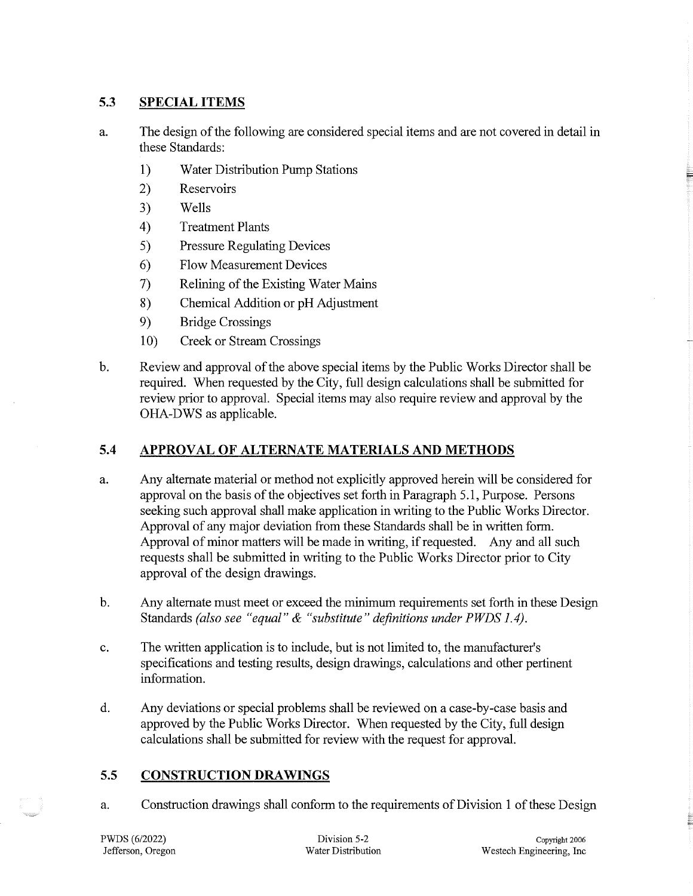# **5.3 SPECIAL ITEMS**

- a. The design of the following are considered special items and are not covered in detail in these Standards:
	- 1) Water Distribution Pump Stations
	- 2) Reservoirs
	- 3) Wells
	- 4) Treatment Plants
	- 5) Pressure Regulating Devices
	- 6) Flow Measurement Devices
	- 7) Relining of the Existing Water Mains
	- 8) Chemical Addition or pH Adjustment
	- 9) Bridge Crossings
	- 10) Creek or Stream Crossings
- b. Review and approval of the above special items by the Public Works Director shall be required. When requested by the City, full design calculations shall be submitted for review prior to approval. Special items may also require review and approval by the OHA-DWS as applicable.

# **5.4 APPROVAL OF ALTERNATE MATERIALS AND METHODS**

- a. Any alternate material or method not explicitly approved herein will be considered for approval on the basis of the objectives set forth in Paragraph 5 .1, Purpose. Persons seeking such approval shall make application in writing to the Public Works Director. Approval of any major deviation from these Standards shall be in written form. Approval of minor matters will be made in writing, if requested. Any and all such requests shall be submitted in writing to the Public Works Director prior to City approval of the design drawings.
- b. Any alternate must meet or exceed the minimum requirements set forth in these Design Standards *(also see "equal"* & *"substitute" definitions under PWDS 1.4).*
- c. The written application is to include, but is not limited to, the manufacturer's specifications and testing results, design drawings, calculations and other pertinent information.
- d. Any deviations or special problems shall be reviewed on a case-by-case basis and approved by the Public Works Director. When requested by the City, full design calculations shall be submitted for review with the request for approval.

# **5.5 CONSTRUCTION DRAWINGS**

a. Construction drawings shall conform to the requirements of Division 1 of these Design

~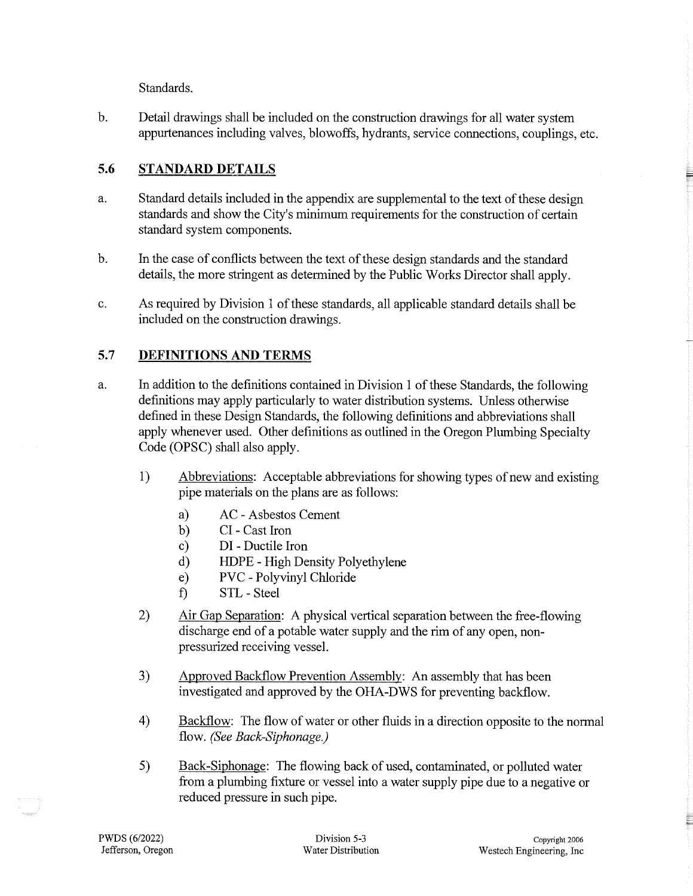Standards.

b. Detail drawings shall be included on the construction drawings for all water system appurtenances including valves, blowoffs, hydrants, service connections, couplings, etc.

# **5.6 STANDARD DETAILS**

- a. Standard details included in the appendix are supplemental to the text of these design standards and show the City's minimum requirements for the construction of certain standard system components.
- b. In the case of conflicts between the text of these design standards and the standard details, the more stringent as determined by the Public Works Director shall apply.
- c. As required by Division 1 of these standards, all applicable standard details shall be included on the construction drawings.

# 5.7 **DEFINITIONS AND TERMS**

- a. In addition to the definitions contained in Division 1 of these Standards, the following definitions may apply particularly to water distribution systems. Unless otherwise defined in these Design Standards, the following definitions and abbreviations shall apply whenever used. Other definitions as outlined in the Oregon Plumbing Specialty Code (OPSC) shall also apply.
	- 1) Abbreviations: Acceptable abbreviations for showing types of new and existing pipe materials on the plans are as follows:
		- a) AC Asbestos Cement
		- b) CI Cast Iron
		- c) DI Ductile Iron
		- d) HDPE High Density Polyethylene
		- e) PVC Polyvinyl Chloride
		- f) STL Steel
	- 2) Air Gap Separation: A physical vertical separation between the free-flowing discharge end of a potable water supply and the rim of any open, nonpressurized receiving vessel.
	- 3) Approved Backflow Prevention Assembly: An assembly that has been investigated and approved by the OHA-DWS for preventing backflow.
	- 4) Backflow: The flow of water or other fluids in a direction opposite to the normal flow. *(See Back-Siphonage.)*
	- 5) Back-Siphonage: The flowing back of used, contaminated, or polluted water from a plumbing fixture or vessel into a water supply pipe due to a negative or reduced pressure in such pipe.

Ě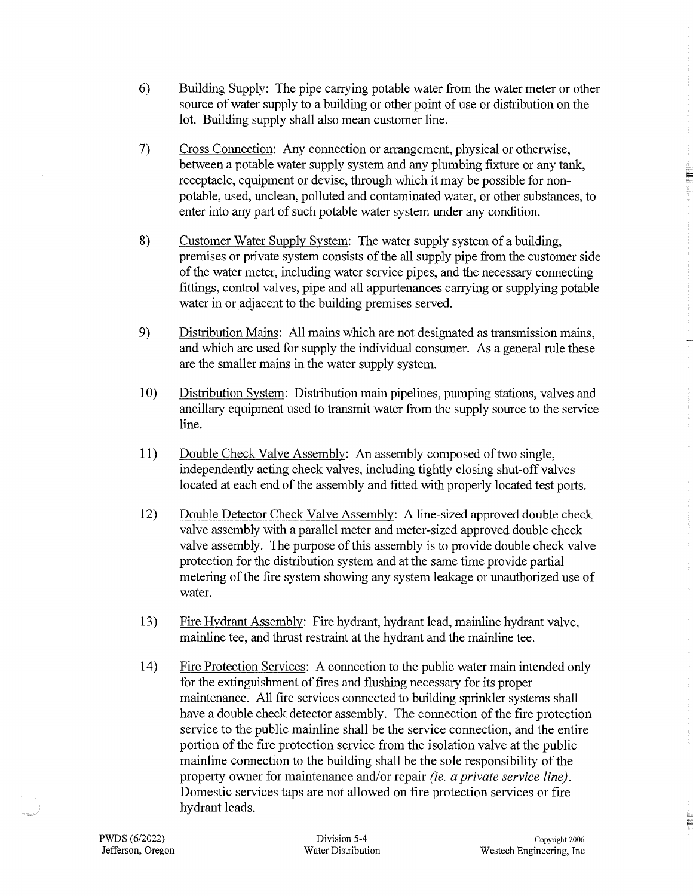- 6) Building Supply: The pipe carrying potable water from the water meter or other source of water supply to a building or other point of use or distribution on the lot. Building supply shall also mean customer line.
- 7) Cross Connection: Any connection or arrangement, physical or otherwise, between a potable water supply system and any plumbing fixture or any tank, receptacle, equipment or devise, through which it may be possible for nonpotable, used, unclean, polluted and contaminated water, or other substances, to enter into any part of such potable water system under any condition.
- 8) Customer Water Supply System: The water supply system of a building, premises or private system consists of the all supply pipe from the customer side of the water meter, including water service pipes, and the necessary connecting fittings, control valves, pipe and all appurtenances carrying or supplying potable water in or adjacent to the building premises served.
- 9) Distribution Mains: All mains which are not designated as transmission mains, and which are used for supply the individual consumer. As a general rule these are the smaller mains in the water supply system.
- 10) Distribution System: Distribution main pipelines, pumping stations, valves and ancillary equipment used to transmit water from the supply source to the service line.
- 11) Double Check Valve Assembly: An assembly composed of two single, independently acting check valves, including tightly closing shut-off valves located at each end of the assembly and fitted with properly located test ports.
- 12) Double Detector Check Valve Assembly: A line-sized approved double check valve assembly with a parallel meter and meter-sized approved double check valve assembly. The purpose of this assembly is to provide double check valve protection for the distribution system and at the same time provide partial metering of the fire system showing any system leakage or unauthorized use of water.
- 13) Fire Hydrant Assembly: Fire hydrant, hydrant lead, mainline hydrant valve, mainline tee, and thrust restraint at the hydrant and the mainline tee.
- 14) Fire Protection Services: A connection to the public water main intended only for the extinguishment of fires and flushing necessary for its proper maintenance. All fire services connected to building sprinkler systems shall have a double check detector assembly. The connection of the fire protection service to the public mainline shall be the service connection, and the entire portion of the fire protection service from the isolation valve at the public mainline connection to the building shall be the sole responsibility of the property owner for maintenance and/or repair *(ie. a private service line).*  Domestic services taps are not allowed on fire protection services or fire hydrant leads.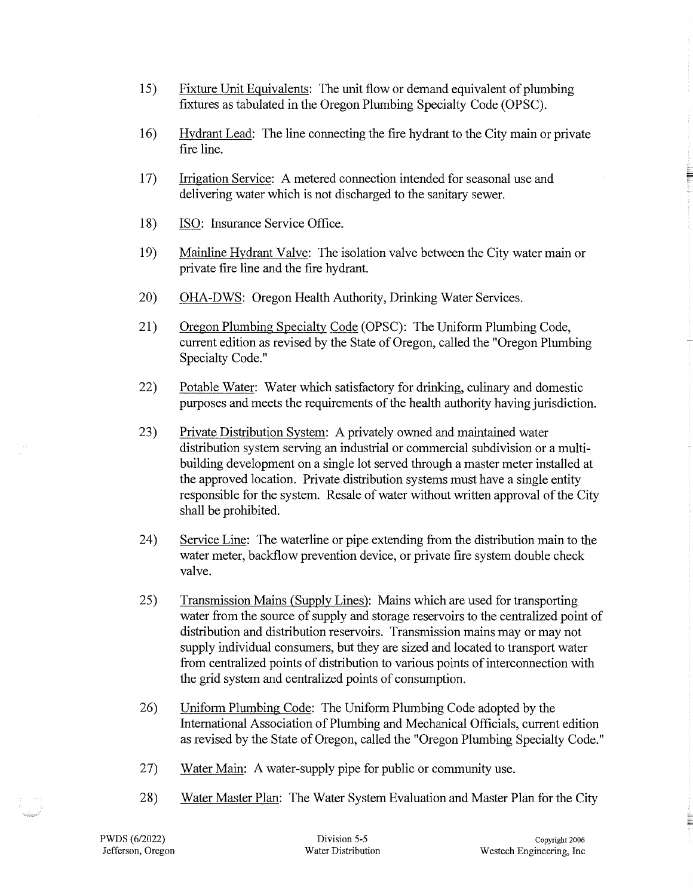- 15) Fixture Unit Equivalents: The unit flow or demand equivalent of plumbing fixtures as tabulated in the Oregon Plumbing Specialty Code (OPSC).
- 16) Hydrant Lead: The line connecting the fire hydrant to the City main or private fire line.
- 17) Irrigation Service: A metered connection intended for seasonal use and delivering water which is not discharged to the sanitary sewer.
- 18) ISO: Insurance Service Office.
- 19) Mainline Hydrant Valve: The isolation valve between the City water main or private fire line and the fire hydrant.
- 20) OHA-DWS: Oregon Health Authority, Drinking Water Services.
- 21) Oregon Plumbing Specialty Code (OPSC): The Uniform Plumbing Code, current edition as revised by the State of Oregon, called the "Oregon Plumbing Specialty Code."
- 22) Potable Water: Water which satisfactory for drinking, culinary and domestic purposes and meets the requirements of the health authority having jurisdiction.
- 23) Private Distribution System: A privately owned and maintained water distribution system serving an industrial or commercial subdivision or a multibuilding development on a single lot served through a master meter installed at the approved location. Private distribution systems must have a single entity responsible for the system. Resale of water without written approval of the City shall be prohibited.
- 24) Service Line: The waterline or pipe extending from the distribution main to the water meter, backflow prevention device, or private fire system double check valve.
- 25) Transmission Mains (Supply Lines): Mains which are used for transporting water from the source of supply and storage reservoirs to the centralized point of distribution and distribution reservoirs. Transmission mains may or may not supply individual consumers, but they are sized and located to transport water from centralized points of distribution to various points of interconnection with the grid system and centralized points of consumption.
- 26) Uniform Plumbing Code: The Uniform Plumbing Code adopted by the International Association of Plumbing and Mechanical Officials, current edition as revised by the State of Oregon, called the "Oregon Plumbing Specialty Code."
- 27) Water Main: A water-supply pipe for public or community use.
- 28) Water Master Plan: The Water System Evaluation and Master Plan for the City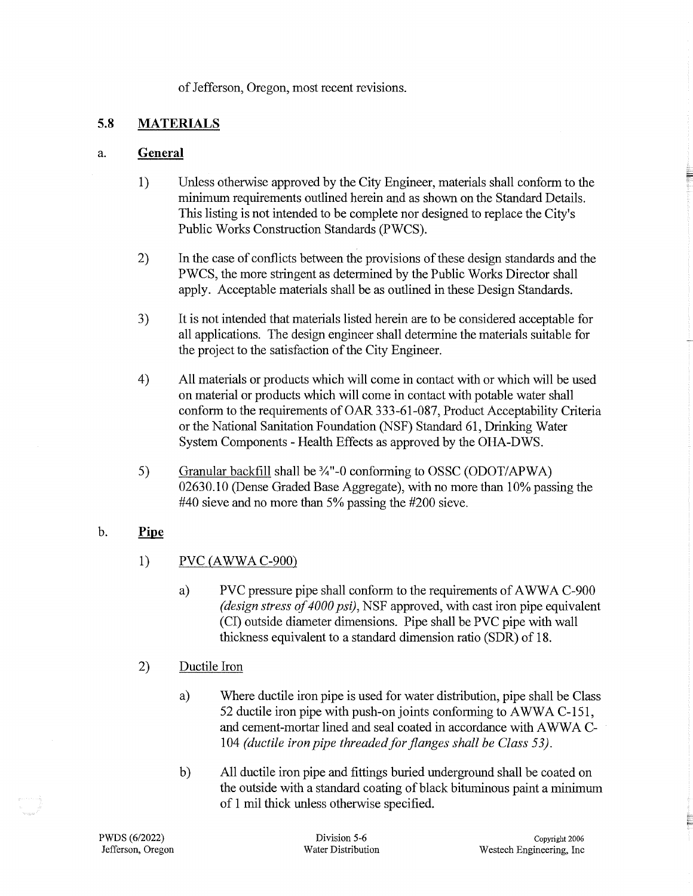of Jefferson, Oregon, most recent revisions.

#### 5.8 **MATERIALS**

#### a. **General**

- 1) Unless otherwise approved by the City Engineer, materials shall conform to the minimum requirements outlined herein and as shown on the Standard Details. This listing is not intended to be complete nor designed to replace the City's Public Works Construction Standards (PWCS).
- 2) In the case of conflicts between the provisions of these design standards and the PWCS, the more stringent as determined by the Public Works Director shall apply. Acceptable materials shall be as outlined in these Design Standards.
- 3) It is not intended that materials listed herein are to be considered acceptable for all applications. The design engineer shall determine the materials suitable for the project to the satisfaction of the City Engineer.
- 4) All materials or products which will come in contact with or which will be used on material or products which will come in contact with potable water shall conform to the requirements of OAR 333-61-087, Product Acceptability Criteria or the National Sanitation Foundation (NSF) Standard 61, Drinking Water System Components - Health Effects as approved by the OHA-DWS.
- 5) Granular backfill shall be %"-0 conforming to OSSC (ODOT/APWA) 02630.10 (Dense Graded Base Aggregate), with no more than 10% passing the #40 sieve and no more than 5% passing the #200 sieve.

#### b. **Pipe**

- 1) PVC (AWWA C-900)
	- a) PVC pressure pipe shall conform to the requirements of AWWA C-900 *(design stress of 4000 psi),* NSF approved, with cast iron pipe equivalent (CI) outside diameter dimensions. Pipe shall be PVC pipe with wall thickness equivalent to a standard dimension ratio (SDR) of 18.

# 2) Ductile Iron

- a) Where ductile iron pipe is used for water distribution, pipe shall be Class 52 ductile iron pipe with push-on joints conforming to AWWA C-151, and cement-mortar lined and seal coated in accordance with AWWA C-104 *(ductile iron pipe threaded for flanges shall be Class 53).*
- b) All ductile iron pipe and fittings buried underground shall be coated on the outside with a standard coating of black bituminous paint a minimum of 1 mil thick unless otherwise specified.

~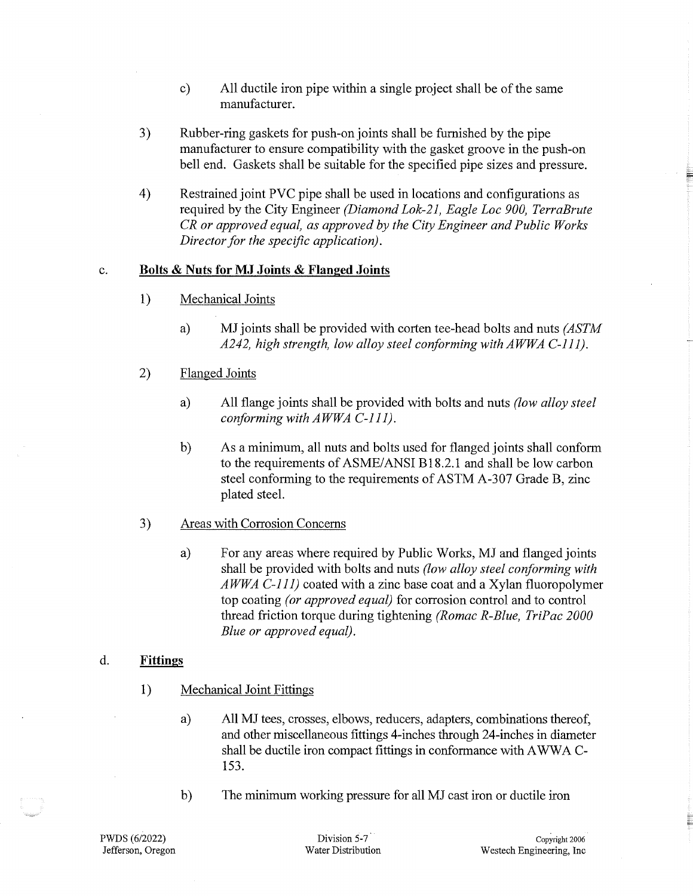- c) All ductile iron pipe within a single project shall be of the same manufacturer.
- 3) Rubber-ring gaskets for push-on joints shall be furnished by the pipe manufacturer to ensure compatibility with the gasket groove in the push-on bell end. Gaskets shall be suitable for the specified pipe sizes and pressure.
- 4) Restrained joint PVC pipe shall be used in locations and configurations as required by the City Engineer *(Diamond Lok-21, Eagle Loe 900, TerraBrute CR or approved equal, as approved by the City Engineer and Public Works Director for the specific application).*

#### c. **Bolts & Nuts for MJ Joints & Flanged Joints**

- 1) Mechanical Joints
	- a) MJ joints shall be provided with corten tee-head bolts and nuts *(ASTM A242, high strength, low alloy steel conforming withAWWA C-111).*
- 2) Flanged Joints
	- a) All flange joints shall be provided with bolts and nuts *(low alloy steel conforming with AWWA C-111).*
	- b) As a minimum, all nuts and bolts used for flanged joints shall conform to the requirements of ASME/ANSI B18.2.1 and shall be low carbon steel conforming to the requirements of ASTM A-307 Grade B, zinc plated steel.
- 3) Areas with Corrosion Concerns
	- a) For any areas where required by Public Works, MJ and flanged joints shall be provided with bolts and nuts *(low alloy steel conforming with AWWA C-111)* coated with a zinc base coat and a Xylan fluoropolymer top coating *(or approved equal)* for corrosion control and to control thread friction torque during tightening *(Romac R-Blue, TriPac 2000 Blue or approved equal).*

#### d. **Fittings**

- 1) Mechanical Joint Fittings
	- a) All MJ tees, crosses, elbows, reducers, adapters, combinations thereof, and other miscellaneous fittings 4-inches through 24-inches in diameter shall be ductile iron compact fittings in conformance with AWWA C-153.
	- b) The minimum working pressure for all MJ cast iron or ductile iron

PWDS (6/2022) Jefferson, Oregon È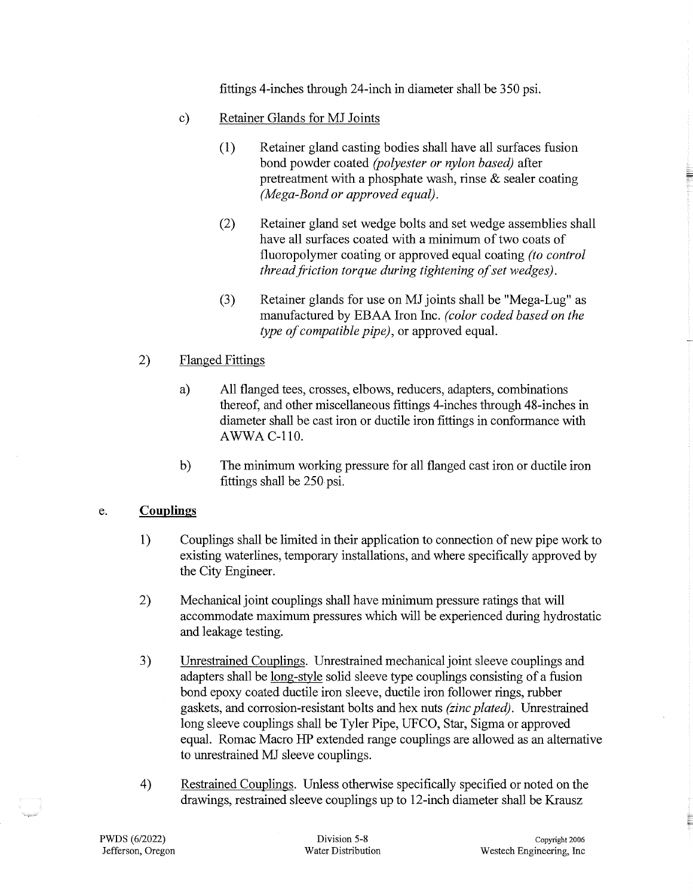fittings 4-inches through 24-inch in diameter shall be 350 psi.

- c) Retainer Glands for MJ Joints
	- (1) Retainer gland casting bodies shall have all surfaces fusion bond powder coated *(polyester or nylon based)* after pretreatment with a phosphate wash, rinse & sealer coating *(Mega-Bond or approved equal).*
	- (2) Retainer gland set wedge bolts and set wedge assemblies shall have all surfaces coated with a minimum of two coats of fluoropolymer coating or approved equal coating *(to control thread friction torque during tightening of set wedges).*
	- (3) Retainer glands for use on MJ joints shall be "Mega-Lug" as manufactured by EBAA Iron Inc. *(color coded based on the type of compatible pipe),* or approved equal.

### 2) Flanged Fittings

- a) All flanged tees, crosses, elbows, reducers, adapters, combinations thereof, and other miscellaneous fittings 4-inches through 48-inches in diameter shall be cast iron or ductile iron fittings in conformance with AWWAC-110.
- b) The minimum working pressure for all flanged cast iron or ductile iron fittings shall be 250 psi.

#### e. **Couplings**

- 1) Couplings shall be limited in their application to connection of new pipe work to existing waterlines, temporary installations, and where specifically approved by the City Engineer.
- 2) Mechanical joint couplings shall have minimum pressure ratings that will accommodate maximum pressures which will be experienced during hydrostatic and leakage testing.
- 3) Unrestrained Couplings. Unrestrained mechanical joint sleeve couplings and adapters shall be long-style solid sleeve type couplings consisting of a fusion bond epoxy coated ductile iron sleeve, ductile iron follower rings, rubber gaskets, and corrosion-resistant bolts and hex nuts *(zinc plated).* Unrestrained long sleeve couplings shall be Tyler Pipe, UFCO, Star, Sigma or approved equal. Romac Macro HP extended range couplings are allowed as an alternative to unrestrained MJ sleeve couplings.
- 4) Restrained Couplings. Unless otherwise specifically specified or noted on the drawings, restrained sleeve couplings up to 12-inch diameter shall be Krausz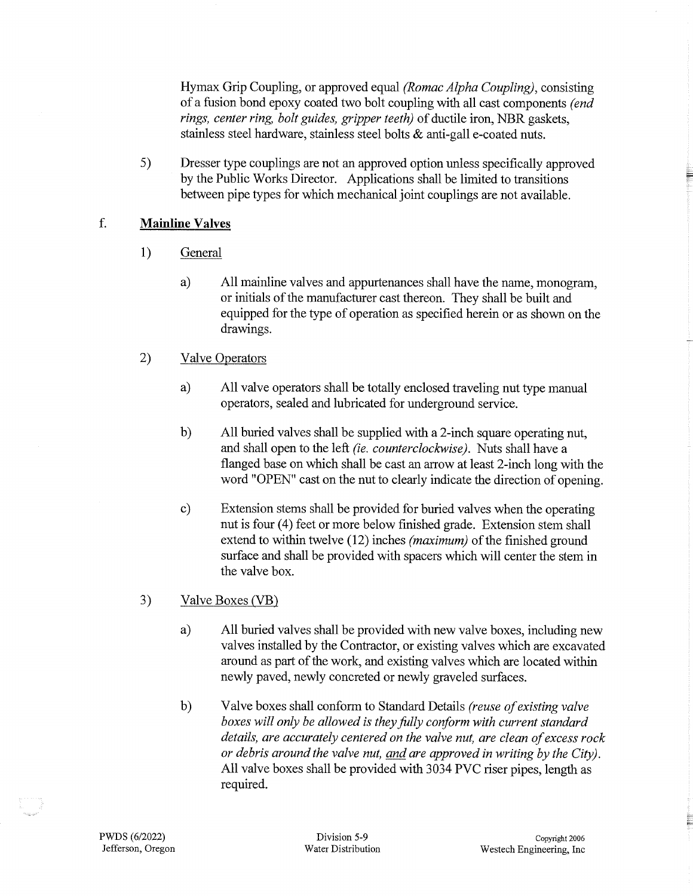Hymax Grip Coupling, or approved equal *(Romac Alpha Coupling),* consisting of a fusion bond epoxy coated two bolt coupling with all cast components *(end rings, center ring, bolt guides, gripper teeth)* of ductile iron, NBR gaskets, stainless steel hardware, stainless steel bolts & anti-gall e-coated nuts.

5) Dresser type couplings are not an approved option unless specifically approved by the Public Works Director. Applications shall be limited to transitions between pipe types for which mechanical joint couplings are not available.

#### f. **Mainline Valves**

- 1) General
	- a) All mainline valves and appurtenances shall have the name, monogram, or initials of the manufacturer cast thereon. They shall be built and equipped for the type of operation as specified herein or as shown on the drawings.
- 2) Valve Operators
	- a) All valve operators shall be totally enclosed traveling nut type manual operators, sealed and lubricated for underground service.
	- b) All buried valves shall be supplied with a 2-inch square operating nut, and shall open to the left *(ie. counterclockwise).* Nuts shall have a flanged base on which shall be cast an arrow at least 2-inch long with the word "OPEN" cast on the nut to clearly indicate the direction of opening.
	- c) Extension stems shall be provided for buried valves when the operating nut is four (4) feet or more below finished grade. Extension stem shall extend to within twelve (12) inches *(maximum)* of the finished ground surface and shall be provided with spacers which will center the stem in the valve box.
- 3) Valve Boxes (VB)
	- a) All buried valves shall be provided with new valve boxes, including new valves installed by the Contractor, or existing valves which are excavated around as part of the work, and existing valves which are located within newly paved, newly concreted or newly graveled surfaces.
	- b) Valve boxes shall conform to Standard Details *(reuse of existing valve boxes will only be allowed is they fully conform with current standard details, are accurately centered on the valve nut, are clean of excess rock or debris around the valve nut, and are approved in writing by the City).*  All valve boxes shall be provided with 3034 PVC riser pipes, length as required.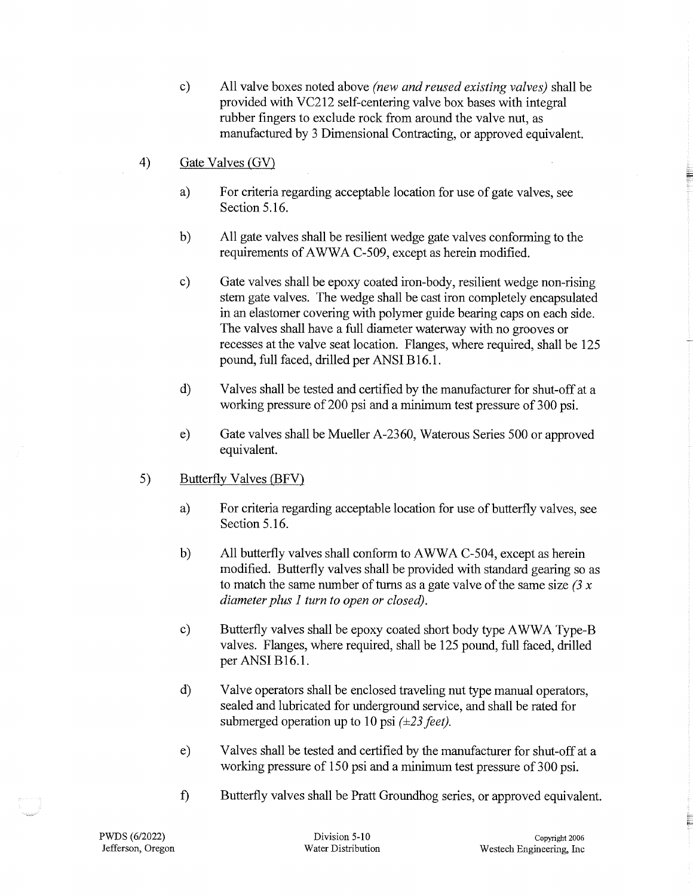- c) All valve boxes noted above *(new and reused existing valves)* shall be provided with VC212 self-centering valve box bases with integral rubber fingers to exclude rock from around the valve nut, as manufactured by 3 Dimensional Contracting, or approved equivalent.
- 4) Gate Valves (GV)
	- a) For criteria regarding acceptable location for use of gate valves, see Section 5.16.
	- b) All gate valves shall be resilient wedge gate valves conforming to the requirements of AWWA C-509, except as herein modified.
	- c) Gate valves shall be epoxy coated iron-body, resilient wedge non-rising stem gate valves. The wedge shall be cast iron completely encapsulated in an elastomer covering with polymer guide bearing caps on each side. The valves shall have a full diameter waterway with no grooves or recesses at the valve seat location. Flanges, where required, shall be 125 pound, full faced, drilled per ANSI B16.1.
	- d) Valves shall be tested and certified by the manufacturer for shut-off at a working pressure of 200 psi and a minimum test pressure of 300 psi.
	- e) Gate valves shall be Mueller A-2360, Waterous Series 500 or approved equivalent.
- 5) Butterfly Valves (BFV)
	- a) For criteria regarding acceptable location for use of butterfly valves, see Section 5.16.
	- b) All butterfly valves shall conform to AWWA C-504, except as herein modified. Butterfly valves shall be provided with standard gearing so as to match the same number of turns as a gate valve of the same size *(3 <sup>x</sup> diameter plus 1 turn to open or closed).*
	- c) Butterfly valves shall be epoxy coated short body type AWWA Type-B valves. Flanges, where required, shall be 125 pound, full faced, drilled per ANSI B16.l.
	- d) Valve operators shall be enclosed traveling nut type manual operators, sealed and lubricated for underground service, and shall be rated for submerged operation up to 10 psi *(±23 feet).*
	- e) Valves shall be tested and certified by the manufacturer for shut-off at a working pressure of 150 psi and a minimum test pressure of 300 psi.
	- f) Butterfly valves shall be Pratt Groundhog series, or approved equivalent.

 $\, = \,$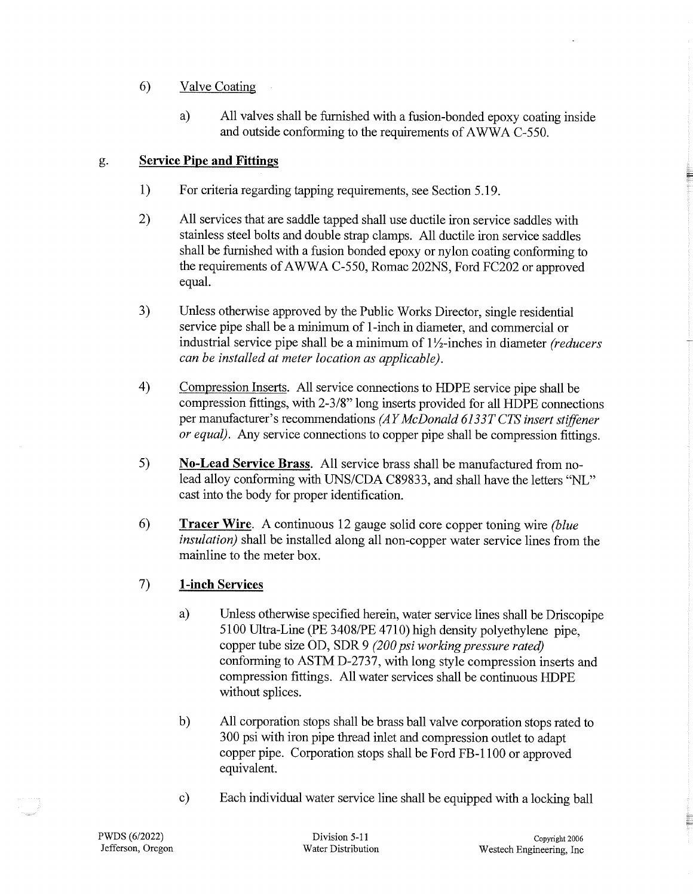- 6) Valve Coating
	- a) All valves shall be furnished with a fusion-bonded epoxy coating inside and outside conforming to the requirements of AWWA C-550.

#### g. **Service Pipe and Fittings**

- 1) For criteria regarding tapping requirements, see Section 5.19.
- 2) All services that are saddle tapped shall use ductile iron service saddles with stainless steel bolts and double strap clamps. All ductile iron service saddles shall be furnished with a fusion bonded epoxy or nylon coating conforming to the requirements of AWWA C-550, Romac 202NS, Ford FC202 or approved equal.
- 3) Unless otherwise approved by the Public Works Director, single residential service pipe shall be a minimum of 1-inch in diameter, and commercial or industrial service pipe shall be a minimum of  $1\frac{1}{2}$ -inches in diameter *(reducers*) *can be installed at meter location as applicable).*
- 4) Compression Inserts. All service connections to HDPE service pipe shall be compression fittings, with 2-3/8" long inserts provided for all HDPE connections per manufacturer's recommendations *(AY McDonald 6133T CTS insert stiffener or equal).* Any service connections to copper pipe shall be compression fittings.
- 5) **No-Lead Service Brass.** All service brass shall be manufactured from nolead alloy conforming with UNS/CDA C89833, and shall have the letters "NL" cast into the body for proper identification.
- 6) **Tracer Wire.** A continuous 12 gauge solid core copper toning wire *(blue insulation)* shall be installed along all non-copper water service lines from the mainline to the meter box.
- 7) **1-inch Services** 
	- a) Unless otherwise specified herein, water service lines shall be Driscopipe 5100 Ultra-Line (PE 3408/PE 4710) high density polyethylene pipe, copper tube size OD, SDR 9 *(200 psi working pressure rated)*  conforming to ASTM D-2737, with long style compression inserts and compression fittings. All water services shall be continuous HDPE without splices.
	- b) All corporation stops shall be brass ball valve corporation stops rated to 300 psi with iron pipe thread inlet and compression outlet to adapt copper pipe. Corporation stops shall be Ford FB-1100 or approved equivalent.
	- c) Each individual water service line shall be equipped with a locking ball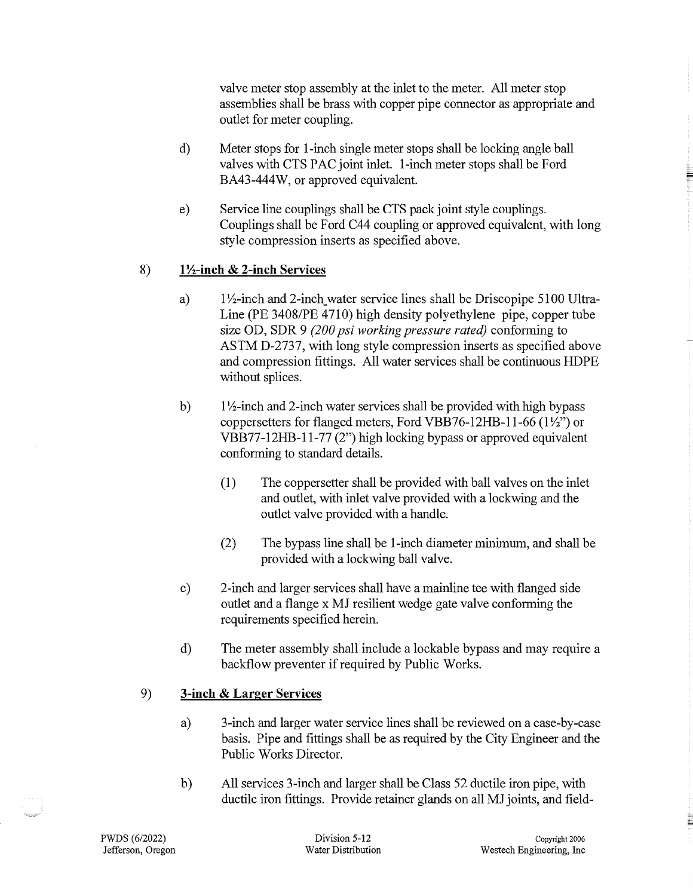valve meter stop assembly at the inlet to the meter. All meter stop assemblies shall be brass with copper pipe connector as appropriate and outlet for meter coupling.

- d) Meter stops for I-inch single meter stops shall be locking angle ball valves with CTS PAC joint inlet. I-inch meter stops shall be Ford BA43-444W, or approved equivalent.
- e) Service line couplings shall be CTS pack joint style couplings. Couplings shall be Ford C44 coupling or approved equivalent, with long style compression inserts as specified above.

### 8) **1 Yz-inch & 2-inch Services**

- a)  $1\frac{1}{2}$ -inch and 2-inch water service lines shall be Driscopipe 5100 Ultra-Line (PE 3408/PE 47IO) high density polyethylene pipe, copper tube size OD, SDR 9 *(200 psi working pressure rated)* conforming to ASTM D-2737, with long style compression inserts as specified above and compression fittings. All water services shall be continuous HDPE without splices.
- b)  $1\frac{1}{2}$ -inch and 2-inch water services shall be provided with high bypass coppersetters for flanged meters, Ford VBB76-12HB-11-66  $(1\frac{1}{2})$  or VBB77-I2HB-I I-77 (2") high locking bypass or approved equivalent conforming to standard details.
	- (1) The coppersetter shall be provided with ball valves on the inlet and outlet, with inlet valve provided with a lockwing and the outlet valve provided with a handle.
	- (2) The bypass line shall be I-inch diameter minimum, and shall be provided with a lockwing ball valve.
- c) 2-inch and larger services shall have a mainline tee with flanged side outlet and a flange x MJ resilient wedge gate valve conforming the requirements specified herein.
- d) The meter assembly shall include a lockable bypass and may require a backflow preventer if required by Public Works.

#### 9) **3-inch & Larger Services**

- a) 3-inch and larger water service lines shall be reviewed on a case-by-case basis. Pipe and fittings shall be as required by the City Engineer and the Public Works Director.
- b) All services 3-inch and larger shall be Class 52 ductile iron pipe, with ductile iron fittings. Provide retainer glands on all MJ joints, and field-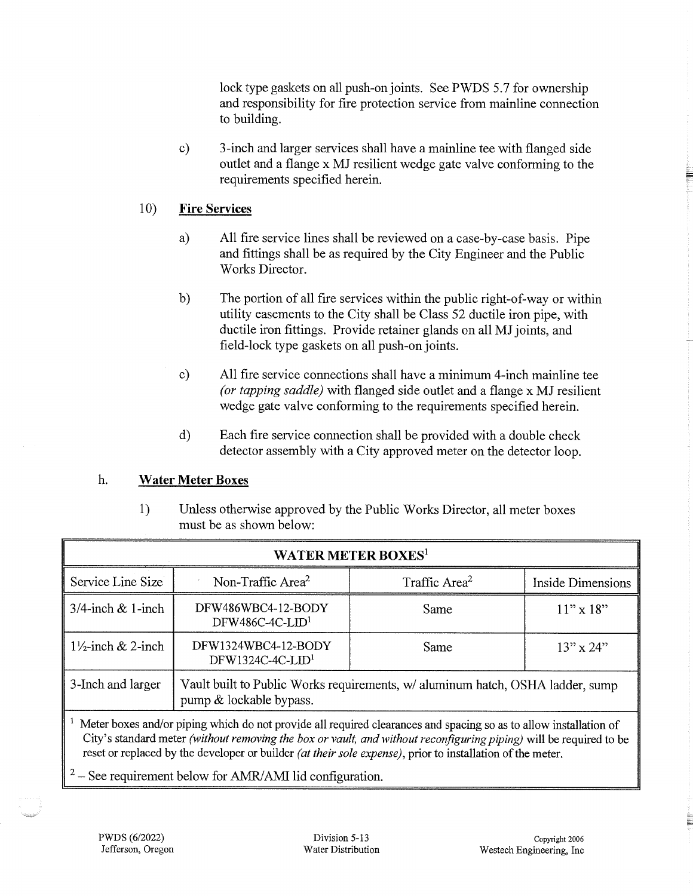lock type gaskets on all push-on joints. See PWDS 5.7 for ownership and responsibility for fire protection service from mainline connection to building.

c) 3-inch and larger services shall have a mainline tee with flanged side outlet and a flange x MJ resilient wedge gate valve conforming to the requirements specified herein.

# 10) **Fire Services**

- a) All fire service lines shall be reviewed on a case-by-case basis. Pipe and fittings shall be as required by the City Engineer and the Public Works Director.
- b) The portion of all fire services within the public right-of-way or within utility easements to the City shall be Class 52 ductile iron pipe, with ductile iron fittings. Provide retainer glands on all MJ joints, and field-lock type gaskets on all push-on joints.
- c) All fire service connections shall have a minimum 4-inch mainline tee *(or tapping saddle)* with flanged side outlet and a flange x MJ resilient wedge gate valve conforming to the requirements specified herein.
- d) Each fire service connection shall be provided with a double check detector assembly with a City approved meter on the detector loop.

# h. **Water Meter Boxes**

1) Unless otherwise approved by the Public Works Director, all meter boxes must be as shown below:

| <b>WATER METER BOXES</b> <sup>1</sup>                                                                                          |                                                   |                           |                   |  |  |
|--------------------------------------------------------------------------------------------------------------------------------|---------------------------------------------------|---------------------------|-------------------|--|--|
| Service Line Size                                                                                                              | Non-Traffic Area <sup>2</sup>                     | Traffic Area <sup>2</sup> | Inside Dimensions |  |  |
| $3/4$ -inch & 1-inch                                                                                                           | DFW486WBC4-12-BODY<br>DFW486C-4C-LID <sup>1</sup> | Same                      | $11" \times 18"$  |  |  |
| $1\frac{1}{2}$ -inch & 2-inch                                                                                                  | DFW1324WBC4-12-BODY<br>$DFW1324C-4C-LID1$         | Same                      | $13" \times 24"$  |  |  |
| Vault built to Public Works requirements, w/ aluminum hatch, OSHA ladder, sump<br>3-Inch and larger<br>pump & lockable bypass. |                                                   |                           |                   |  |  |

 $<sup>1</sup>$  Meter boxes and/or piping which do not provide all required clearances and spacing so as to allow installation of</sup> City's standard meter *(without removing the box or vault, and without reconfiguring piping)* will be required to be reset or replaced by the developer or builder *(at their sole expense),* prior to installation of the meter.

 $2 -$  See requirement below for AMR/AMI lid configuration.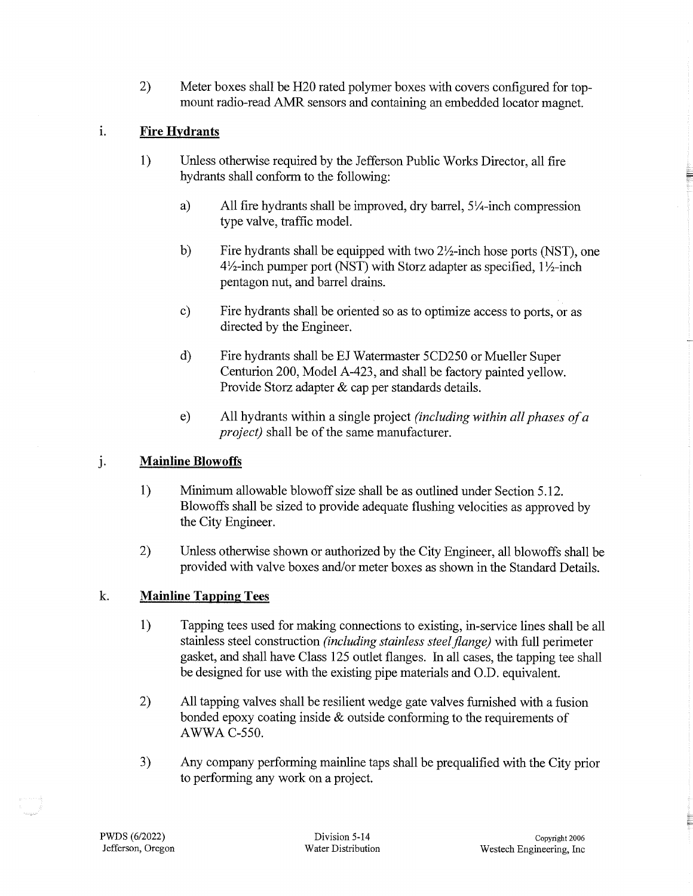2) Meter boxes shalI be H20 rated polymer boxes with covers configured for topmount radio-read AMR sensors and containing an embedded locator magnet.

# 1. **Fire Hydrants**

- 1) Unless otherwise required by the Jefferson Public Works Director, all fire hydrants shall conform to the following:
	- a) All fire hydrants shall be improved, dry barrel, 514-inch compression type valve, traffic model.
	- b) Fire hydrants shall be equipped with two  $2\frac{1}{2}$ -inch hose ports (NST), one  $4\frac{1}{2}$ -inch pumper port (NST) with Storz adapter as specified,  $1\frac{1}{2}$ -inch pentagon nut, and barrel drains.
	- c) Fire hydrants shall be oriented so as to optimize access to ports, or as directed by the Engineer.
	- d) Fire hydrants shall be EJ Watermaster 5CD250 or Mueller Super Centurion 200, Model A-423, and shall be factory painted yellow. Provide Storz adapter & cap per standards details.
	- e) All hydrants within a single project *(including within all phases of <sup>a</sup> project)* shall be of the same manufacturer.

# **J. Mainline Blowoffs**

- 1) Minimum allowable blowoff size shall be as outlined under Section 5.12. Blowoffs shall be sized to provide adequate flushing velocities as approved by the City Engineer.
- 2) Unless otherwise shown or authorized by the City Engineer, all blowoffs shall be provided with valve boxes and/or meter boxes as shown in the Standard Details.

# k. **Mainline Tapping Tees**

- 1) Tapping tees used for making connections to existing, in-service lines shall be all stainless steel construction *(including stainless steel flange)* with full perimeter gasket, and shall have Class 125 outlet flanges. In all cases, the tapping tee shall be designed for use with the existing pipe materials and O.D. equivalent.
- 2) All tapping valves shall be resilient wedge gate valves furnished with a fusion bonded epoxy coating inside & outside conforming to the requirements of AWWAC-550.
- 3) Any company performing mainline taps shall be prequalified with the City prior to performing any work on a project.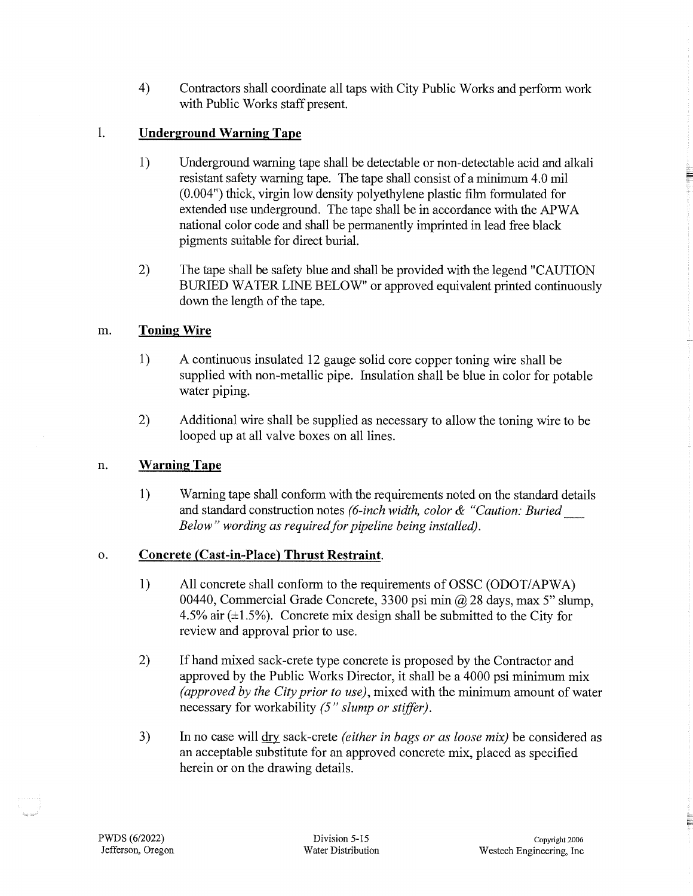4) Contractors shall coordinate all taps with City Public Works and perform work with Public Works staff present.

# 1. **Underground Warning Tape**

- 1) Underground warning tape shall be detectable or non-detectable acid and alkali resistant safety warning tape. The tape shall consist of a minimum 4.0 mil (0.004") thick, virgin low density polyethylene plastic film formulated for extended use underground. The tape shall be in accordance with the APWA national color code and shall be permanently imprinted in lead free black pigments suitable for direct burial.
- 2) The tape shall be safety blue and shall be provided with the legend "CAUTION BURIED WATER LINE BELOW" or approved equivalent printed continuously down the length of the tape.

# m. **Toning Wire**

- 1) A continuous insulated 12 gauge solid core copper toning wire shall be supplied with non-metallic pipe. Insulation shall be blue in color for potable water piping.
- 2) Additional wire shall be supplied as necessary to allow the toning wire to be looped up at all valve boxes on all lines.

# n. **Warning Tape**

1) Warning tape shall conform with the requirements noted on the standard details and standard construction notes *(6-inch width, color* & *"Caution: Buried Below" wording as required for pipeline being installed).* 

# o. **Concrete (Cast-in-Place) Thrust Restraint.**

- 1) All concrete shall conform to the requirements of OSSC (ODOT/APWA) 00440, Commercial Grade Concrete, 3300 psi min  $(a)$  28 days, max 5" slump, 4.5% air  $(\pm 1.5\%)$ . Concrete mix design shall be submitted to the City for review and approval prior to use.
- 2) If hand mixed sack-crete type concrete is proposed by the Contractor and approved by the Public Works Director, it shall be a 4000 psi minimum mix *(approved by the City prior to use),* mixed with the minimum amount of water necessary for workability *(5" slump or stiffer).*
- 3) In no case will dry sack-crete *(either in bags or as loose mix)* be considered as an acceptable substitute for an approved concrete mix, placed as specified herein or on the drawing details.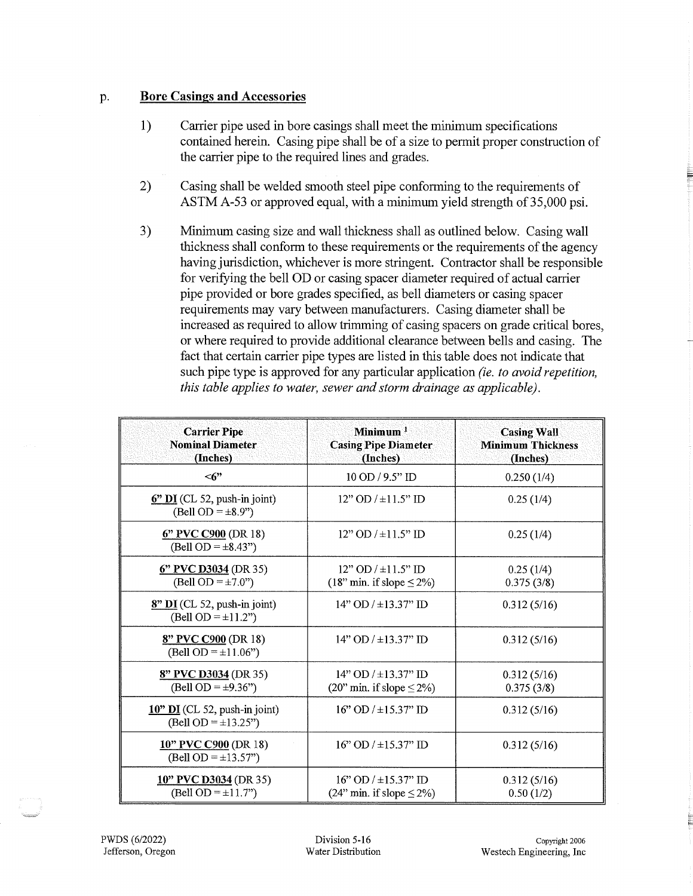#### p. Bore Casings and Accessories

- 1) Carrier pipe used in bore casings shall meet the minimum specifications contained herein. Casing pipe shall be of a size to permit proper construction of the carrier pipe to the required lines and grades.
- 2) Casing shall be welded smooth steel pipe conforming to the requirements of ASTM A-53 or approved equal, with a minimum yield strength of 35,000 psi.
- 3) Minimum casing size and wall thickness shall as outlined below. Casing wall thickness shall conform to these requirements or the requirements of the agency having jurisdiction, whichever is more stringent. Contractor shall be responsible for verifying the bell OD or casing spacer diameter required of actual carrier pipe provided or bore grades specified, as bell diameters or casing spacer requirements may vary between manufacturers. Casing diameter shall be increased as required to allow trimming of casing spacers on grade critical bores, or where required to provide additional clearance between bells and casing. The fact that certain carrier pipe types are listed in this table does not indicate that such pipe type is approved for any particular application *(ie. to avoid repetition, this table applies to water, sewer and storm drainage as applicable).*

| <b>Carrier Pipe</b><br><b>Nominal Diameter</b><br>(Inches)  | Minimum $1$<br><b>Casing Pipe Diameter</b><br>(Inches)                | <b>Casing Wall</b><br><b>Minimum Thickness</b><br>(Inches) |  |
|-------------------------------------------------------------|-----------------------------------------------------------------------|------------------------------------------------------------|--|
| $\leq 6$ "                                                  | $10$ OD $/$ 9.5" ID                                                   | 0.250(1/4)                                                 |  |
| $6"$ DI (CL 52, push-in joint)<br>(Bell OD = $\pm$ 8.9")    | $12"$ OD $/ \pm 11.5"$ ID                                             | 0.25(1/4)                                                  |  |
| $6"$ PVC C900 (DR 18)<br>(Bell OD = $\pm$ 8.43")            | $12$ " OD $/ \pm 11.5$ " ID                                           | 0.25(1/4)                                                  |  |
| $6"$ PVC D3034 (DR 35)<br>(Bell OD = $\pm 7.0$ ")           | $12"$ OD $/ \pm 11.5"$ ID<br>$(18"$ min. if slope $\leq 2\%$ )        | 0.25(1/4)<br>0.375(3/8)                                    |  |
| $8"$ DI (CL 52, push-in joint)<br>(Bell OD = $\pm$ 11.2")   | $14"$ OD $/ \pm 13.37"$ ID                                            | 0.312(5/16)                                                |  |
| 8" PVC C900 (DR 18)<br>(Bell OD = $\pm$ 11.06")             | $14"$ OD $/ \pm 13.37"$ ID                                            | 0.312(5/16)                                                |  |
| 8" PVC D3034 (DR 35)<br>(Bell OD = $\pm$ 9.36")             | $14"$ OD $/ \pm 13.37"$ ID<br>$(20" \text{ min. if slope } \leq 2\%)$ | 0.312(5/16)<br>0.375(3/8)                                  |  |
| $10"$ DI (CL 52, push-in joint)<br>(Bell OD = $\pm$ 13.25") | $16"$ OD $/ \pm 15.37"$ ID                                            | 0.312(5/16)                                                |  |
| 10" PVC C900 (DR 18)<br>(Bell OD = $\pm$ 13.57")            | $16"$ OD $/ \pm 15.37"$ ID                                            | 0.312(5/16)                                                |  |
| 10" PVC D3034 (DR 35)<br>(Bell OD = $\pm$ 11.7")            | $16"$ OD $/ \pm 15.37"$ ID<br>$(24" \text{ min. if slope } \leq 2\%)$ | 0.312(5/16)<br>0.50(1/2)                                   |  |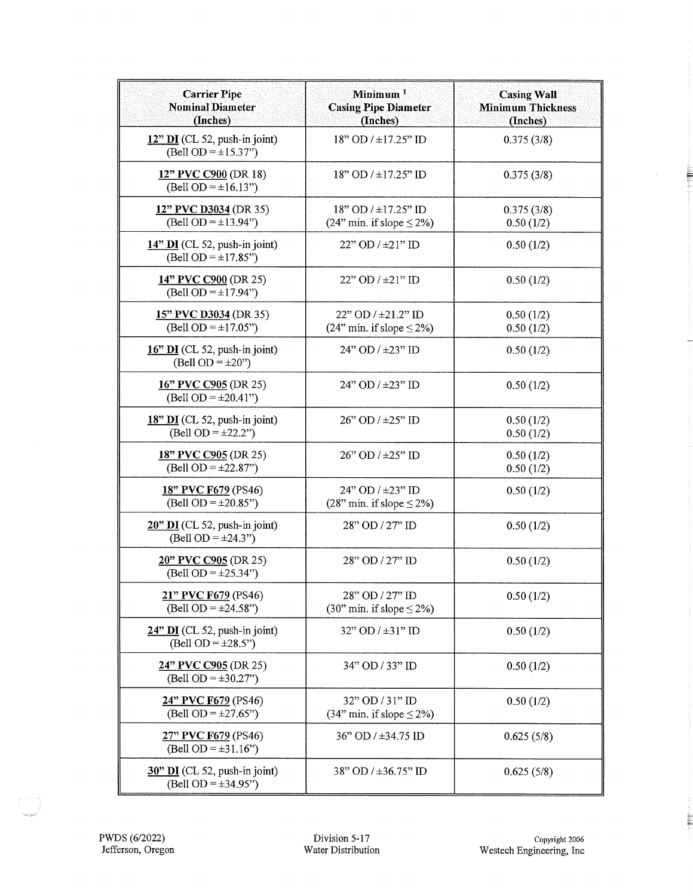| <b>Carrier Pipe</b><br><b>Nominal Diameter</b><br>(Inches)   | Minimum <sup>1</sup><br><b>Casing Pipe Diameter</b><br>(Inches)       | <b>Casing Wall</b><br><b>Minimum Thickness</b><br>(Inches) |  |
|--------------------------------------------------------------|-----------------------------------------------------------------------|------------------------------------------------------------|--|
| $12"$ DI (CL 52, push-in joint)<br>(Bell OD = ±15.37")       | 18" OD / ±17.25" ID                                                   | 0.375(3/8)                                                 |  |
| 12" PVC C900 (DR 18)<br>(Bell OD = $\pm 16.13$ ")            | $18"$ OD $/ \pm 17.25"$ ID                                            | 0.375(3/8)                                                 |  |
| 12" PVC D3034 (DR 35)<br>(Bell OD = $\pm$ 13.94")            | $18"$ OD $/ \pm 17.25"$ ID<br>$(24" \text{ min. if slope } \leq 2\%)$ | 0.375(3/8)<br>0.50(1/2)                                    |  |
| $14"$ DI (CL 52, push-in joint)<br>(Bell OD = $\pm$ 17.85")  | $22"$ OD $/$ $\pm 21"$ ID                                             | 0.50(1/2)                                                  |  |
| 14" PVC C900 (DR 25)<br>(Bell OD = $\pm$ 17.94")             | $22$ " OD / $\pm 21$ " ID                                             | 0.50(1/2)                                                  |  |
| 15" PVC D3034 (DR 35)<br>(Bell OD = $\pm$ 17.05")            | $22"$ OD $/ \pm 21.2"$ ID<br>$(24$ " min. if slope $\leq 2\%$ )       | 0.50(1/2)<br>0.50(1/2)                                     |  |
| $16"$ DI (CL 52, push-in joint)<br>(Bell OD = $\pm 20$ ")    | 24" OD / ±23" ID                                                      | 0.50(1/2)                                                  |  |
| 16" PVC C905 (DR 25)<br>(Bell OD = $\pm 20.41$ ")            | 24" OD / ±23" ID                                                      | 0.50(1/2)                                                  |  |
| $18"$ DI (CL 52, push-in joint)<br>(Bell OD = $\pm 22.2$ ")  | $26"$ OD $/$ $\pm 25"$ ID                                             | 0.50(1/2)<br>0.50(1/2)                                     |  |
| 18" PVC C905 (DR 25)<br>(Bell OD = $\pm 22.87$ ")            | $26$ " OD $/ \pm 25$ " ID                                             | 0.50(1/2)<br>0.50(1/2)                                     |  |
| 18" PVC F679 (PS46)<br>(Bell OD = $\pm 20.85$ ")             | 24" OD / ±23" ID<br>$(28"$ min. if slope $\leq 2\%$ )                 | 0.50(1/2)                                                  |  |
| $20"$ DI (CL 52, push-in joint)<br>(Bell OD = $\pm 24.3$ ")  | 28" OD / 27" ID                                                       | 0.50(1/2)                                                  |  |
| 20" PVC C905 (DR 25)<br>(Bell OD = $\pm 25.34$ ")            | $28"$ OD $/27"$ ID                                                    | 0.50(1/2)                                                  |  |
| 21" PVC F679 (PS46)<br>(Bell OD = $\pm 24.58$ ")             | 28" OD / 27" ID<br>(30" min. if slope $\leq$ 2%)                      | 0.50(1/2)                                                  |  |
| $24"$ DI (CL 52, push-in joint)<br>(Bell OD = $\pm 28.5$ ")  | 32" OD / ±31" ID                                                      | 0.50(1/2)                                                  |  |
| 24" PVC C905 (DR 25)<br>(Bell OD = $\pm 30.27$ ")            | 34" OD / 33" ID                                                       | 0.50(1/2)                                                  |  |
| 24" PVC F679 (PS46)<br>(Bell OD = $\pm 27.65$ ")             | 32" OD / 31" ID<br>$(34"$ min. if slope $\leq 2\%$ )                  | 0.50(1/2)                                                  |  |
| 27" PVC F679 (PS46)<br>(Bell OD = $\pm 31.16$ ")             | $36"$ OD $/±34.75$ ID                                                 | 0.625(5/8)                                                 |  |
| $30"$ DI (CL 52, push-in joint)<br>(Bell OD = $\pm 34.95$ ") | $38"$ OD / $\pm 36.75"$ ID                                            | 0.625(5/8)                                                 |  |

PWDS (6/2022) Jefferson, Oregon 經開經

**THE SECTION** 

 $\bar{z}$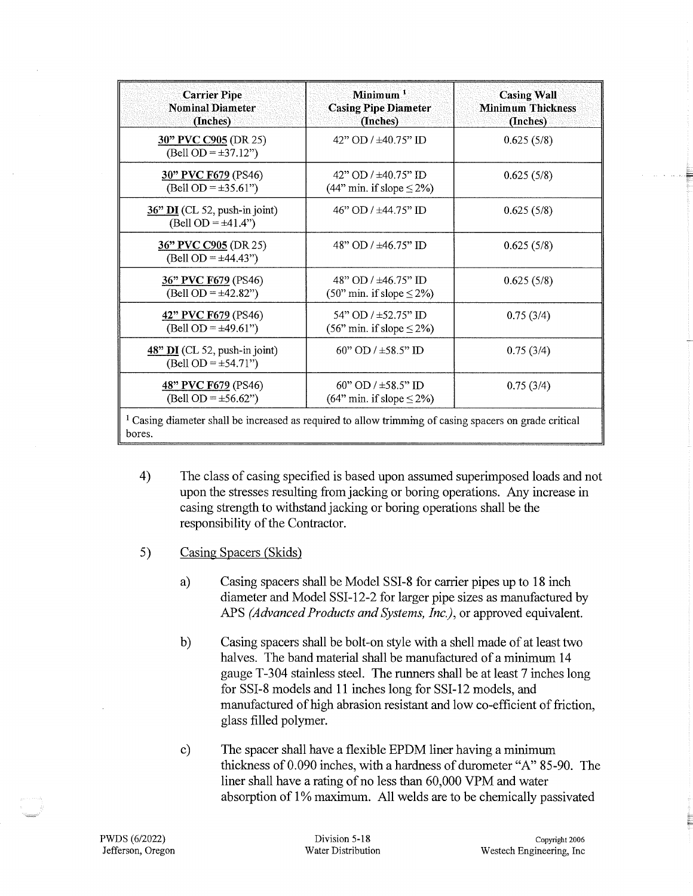| <b>Carrier Pipe</b><br><b>Nominal Diameter</b><br>(Inches)                                                                  | Minimum <sup>1</sup><br><b>Casing Pipe Diameter</b><br>(Inches)          | <b>Casing Wall</b><br><b>Minimum Thickness</b><br>(Inches) |
|-----------------------------------------------------------------------------------------------------------------------------|--------------------------------------------------------------------------|------------------------------------------------------------|
| 30" PVC C905 (DR 25)<br>(Bell OD = $\pm 37.12$ ")                                                                           | 42" OD $/$ $\pm$ 40.75" ID                                               | 0.625(5/8)                                                 |
| 30" PVC F679 (PS46)<br>(Bell OD = $\pm 35.61$ ")                                                                            | 42" OD $/ \pm 40.75$ " ID<br>$(44" \text{ min. if slope } \leq 2\%)$     | 0.625(5/8)                                                 |
| $36"$ DI (CL 52, push-in joint)<br>(Bell OD = $\pm 41.4$ ")                                                                 | 46" OD / ±44.75" ID                                                      | 0.625(5/8)                                                 |
| 36" PVC C905 (DR 25)<br>(Bell OD = $\pm$ 44.43")                                                                            | 48" OD / $\pm$ 46.75" ID                                                 | 0.625(5/8)                                                 |
| 36" PVC F679 (PS46)<br>(Bell OD = $\pm 42.82$ ")                                                                            | 48" OD / $\pm$ 46.75" ID<br>$(50^{\circ}$ min. if slope $\leq 2\%$ )     | 0.625(5/8)                                                 |
| 42" PVC F679 (PS46)<br>(Bell OD = $\pm$ 49.61")                                                                             | $54"$ OD $/$ $\pm$ 52.75" ID<br>$(56^{\circ}$ min. if slope $\leq 2\%$ ) | 0.75(3/4)                                                  |
| $48"$ DI (CL 52, push-in joint)<br>(Bell OD = $\pm$ 54.71")                                                                 | $60"$ OD $/$ $\pm$ 58.5" ID                                              | 0.75(3/4)                                                  |
| 48" PVC F679 (PS46)<br>(Bell OD = $\pm$ 56.62")                                                                             | $60"$ OD / $\pm$ 58.5" ID<br>$(64$ " min. if slope $\leq 2\%$ )          | 0.75(3/4)                                                  |
| <sup>1</sup> Casing diameter shall be increased as required to allow trimming of casing spacers on grade critical<br>bores. |                                                                          |                                                            |

- 4) The class of casing specified is based upon assumed superimposed loads and not upon the stresses resulting from jacking or boring operations. Any increase in casing strength to withstand jacking or boring operations shall be the responsibility of the Contractor.
- 5) Casing Spacers (Skids)
	- a) Casing spacers shall be Model SSI-8 for carrier pipes up to 18 inch diameter and Model SSI-12-2 for larger pipe sizes as manufactured by APS *(Advanced Products and Systems, Inc.),* or approved equivalent.
	- b) Casing spacers shall be bolt-on style with a shell made of at least two halves. The band material shall be manufactured of a minimum 14 gauge T-304 stainless steel. The runners shall be at least 7 inches long for SSI-8 models and 11 inches long for SSI-12 models, and manufactured of high abrasion resistant and low co-efficient of friction, glass filled polymer.
	- c) The spacer shall have a flexible EPDM liner having a minimum thickness of 0.090 inches, with a hardness of durometer "A" 85-90. The liner shall have a rating of no less than 60,000 VPM and water absorption of 1% maximum. All welds are to be chemically passivated

-~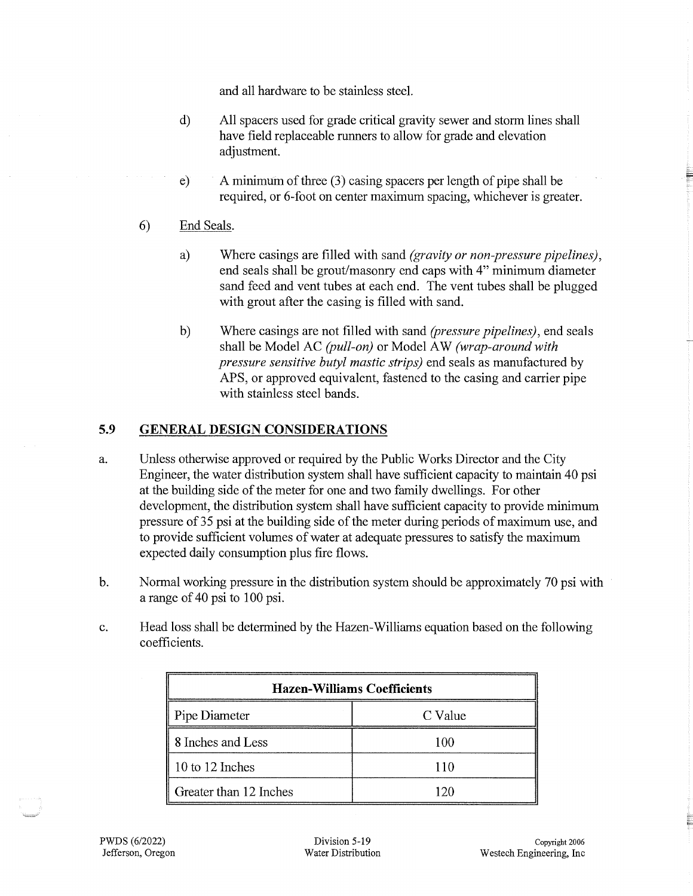and all hardware to be stainless steel.

- d) All spacers used for grade critical gravity sewer and storm lines shall have field replaceable runners to allow for grade and elevation adjustment.
- e) A minimum of three (3) casing spacers per length of pipe shall be required, or 6-foot on center maximum spacing, whichever is greater.
- 6) End Seals.
	- a) Where casings are filled with sand *(gravity or non-pressure pipelines),*  end seals shall be grout/masonry end caps with 4" minimum diameter sand feed and vent tubes at each end. The vent tubes shall be plugged with grout after the casing is filled with sand.
	- b) Where casings are not filled with sand *(pressure pipelines),* end seals shall be Model AC *(pull-on)* or Model AW *(wrap-around with pressure sensitive butyl mastic strips)* end seals as manufactured by APS, or approved equivalent, fastened to the casing and carrier pipe with stainless steel bands.

# **5.9 GENERAL DESIGN CONSIDERATIONS**

- a. Unless otherwise approved or required by the Public Works Director and the City Engineer, the water distribution system shall have sufficient capacity to maintain 40 psi at the building side of the meter for one and two family dwellings. For other development, the distribution system shall have sufficient capacity to provide minimum pressure of 35 psi at the building side of the meter during periods of maximum use, and to provide sufficient volumes of water at adequate pressures to satisfy the maximum expected daily consumption plus fire flows.
- b. Normal working pressure in the distribution system should be approximately 70 psi with a range of 40 psi to 100 psi.
- c. Head loss shall be determined by the Hazen-Williams equation based on the following coefficients.

| <b>Hazen-Williams Coefficients</b> |     |  |  |
|------------------------------------|-----|--|--|
| Pipe Diameter<br>C Value           |     |  |  |
| 8 Inches and Less                  | 100 |  |  |
| 10 to 12 Inches                    | 110 |  |  |
| Greater than 12 Inches             | 120 |  |  |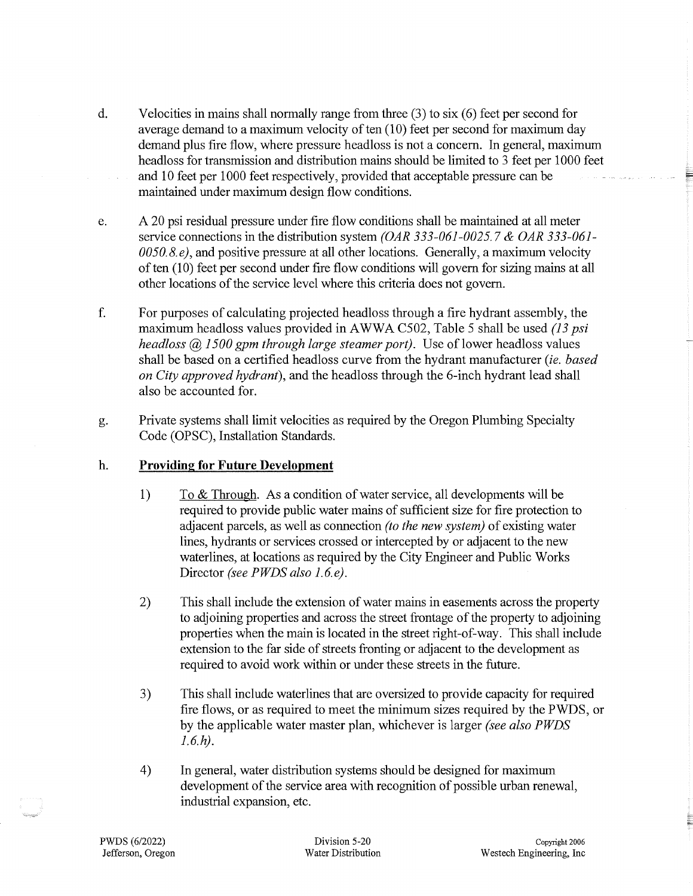- d. Velocities in mains shall normally range from three  $(3)$  to six  $(6)$  feet per second for average demand to a maximum velocity of ten (10) feet per second for maximum day demand plus fire flow, where pressure headloss is not a concern. In general, maximum headloss for transmission and distribution mains should be limited to 3 feet per 1000 feet and 10 feet per 1000 feet respectively, provided that acceptable pressure can be maintained under maximum design flow conditions.
- e. A 20 psi residual pressure under fire flow conditions shall be maintained at all meter service connections in the distribution system *(OAR 333-061-0025. 7* & *OAR 333-061- 0050. 8. e),* and positive pressure at all other locations. Generally, a maximum velocity of ten (10) feet per second under fire flow conditions will govern for sizing mains at all other locations of the service level where this criteria does not govern.
- f. For purposes of calculating projected headloss through a fire hydrant assembly, the maximum headloss values provided in A WWA C502, Table 5 shall be used *(13 psi headloss (a), 1500 gpm through large steamer port).* Use of lower headloss values shall be based on a certified headloss curve from the hydrant manufacturer *(ie. based on City approved hydrant),* and the headloss through the 6-inch hydrant lead shall also be accounted for.
- g. Private systems shall limit velocities as required by the Oregon Plumbing Specialty Code (OPSC), Installation Standards.

# h. **Providing for Future Development**

- 1) To & Through. As a condition of water service, all developments will be required to provide public water mains of sufficient size for fire protection to adjacent parcels, as well as connection *(to the new system)* of existing water lines, hydrants or services crossed or intercepted by or adjacent to the new waterlines, at locations as required by the City Engineer and Public Works Director *(see PWDS also 1.6.e).*
- 2) This shall include the extension of water mains in easements across the property to adjoining properties and across the street frontage of the property to adjoining properties when the main is located in the street right-of-way. This shall include extension to the far side of streets fronting or adjacent to the development as required to avoid work within or under these streets in the future.
- 3) This shall include waterlines that are oversized to provide capacity for required fire flows, or as required to meet the minimum sizes required by the PWDS, or by the applicable water master plan, whichever is larger *(see also PWDS 1.6.h).*
- 4) In general, water distribution systems should be designed for maximum development of the service area with recognition of possible urban renewal, industrial expansion, etc.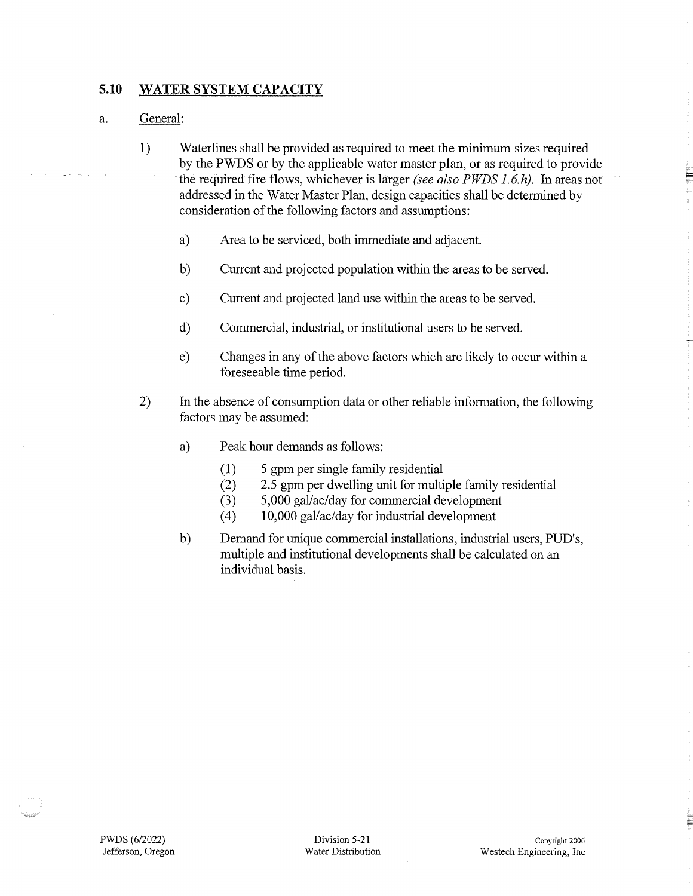#### **5.10 WATER SYSTEM CAPACITY**

#### a. General:

- 1) Waterlines shall be provided as required to meet the minimum sizes required by the PWDS or by the applicable water master plan, or as required to provide ·the required fire flows, whichever is larger *(see also PWDS 1.6.h).* In areas not addressed in the Water Master Plan, design capacities shall be determined by consideration of the following factors and assumptions:
	- a) Area to be serviced, both immediate and adjacent.
	- b) Current and projected population within the areas to be served.
	- c) Current and projected land use within the areas to be served.
	- d) Commercial, industrial, or institutional users to be served.
	- e) Changes in any of the above factors which are likely to occur within a foreseeable time period.
- 2) In the absence of consumption data or other reliable information, the following factors may be assumed:
	- a) Peak hour demands as follows:
		- (1) 5 gpm per single family residential
		- (2) 2.5 gpm per dwelling unit for multiple family residential
		- (3) 5,000 gal/ac/day for commercial development
		- (4) 10,000 gal/ac/day for industrial development
	- b) Demand for unique commercial installations, industrial users, PUD's, multiple and institutional developments shall be calculated on an individual basis.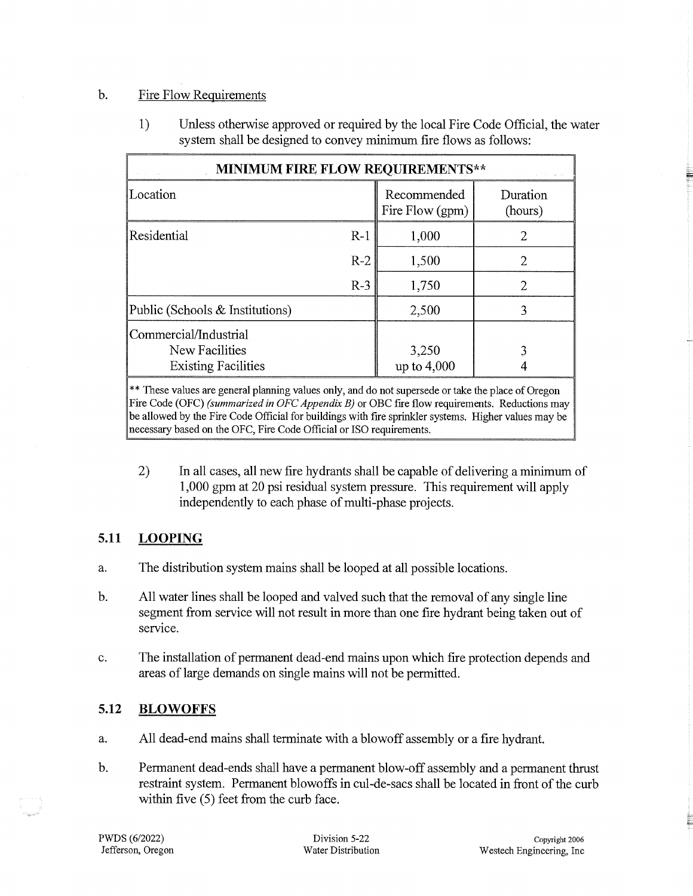#### b. Fire Flow Requirements

1) Unless otherwise approved or required by the local Fire Code Official, the water system shall be designed to convey minimum fire flows as follows:

| MINIMUM FIRE FLOW REQUIREMENTS**                                      |       |                                |                     |  |
|-----------------------------------------------------------------------|-------|--------------------------------|---------------------|--|
| Location                                                              |       | Recommended<br>Fire Flow (gpm) | Duration<br>(hours) |  |
| Residential                                                           | $R-1$ | 1,000                          | 2                   |  |
|                                                                       | $R-2$ | 1,500                          | 2                   |  |
|                                                                       | $R-3$ | 1,750                          | 2                   |  |
| Public (Schools & Institutions)                                       |       | 2,500                          | 3                   |  |
| Commercial/Industrial<br>New Facilities<br><b>Existing Facilities</b> |       | 3,250<br>up to $4,000$         |                     |  |

\*\*These values are general planning values only, and do not supersede or take the place of Oregon Fire Code (OFC) (summarized in OFC Appendix B) or OBC fire flow requirements. Reductions may be allowed by the Fire Code Official for buildings with fire sprinkler systems. Higher values may be necessary based on the OFC, Fire Code Official or ISO requirements.

2) In all cases, all new fire hydrants shall be capable of delivering a minimum of 1,000 gpm at 20 psi residual system pressure. This requirement will apply independently to each phase of multi-phase projects.

# **5.11 LOOPING**

- a. The distribution system mains shall be looped at all possible locations.
- b. All water lines shall be looped and valved such that the removal of any single line segment from service will not result in more than one fire hydrant being taken out of service.
- c. The installation of permanent dead-end mains upon which fire protection depends and areas of large demands on single mains will not be permitted.

# **5.12 BLOWOFFS**

- a. All dead-end mains shall terminate with a blowoff assembly or a fire hydrant.
- b. Permanent dead-ends shall have a permanent blow-off assembly and a permanent thrust restraint system. Permanent blowoffs in cul-de-sacs shall be located in front of the curb within five  $(5)$  feet from the curb face.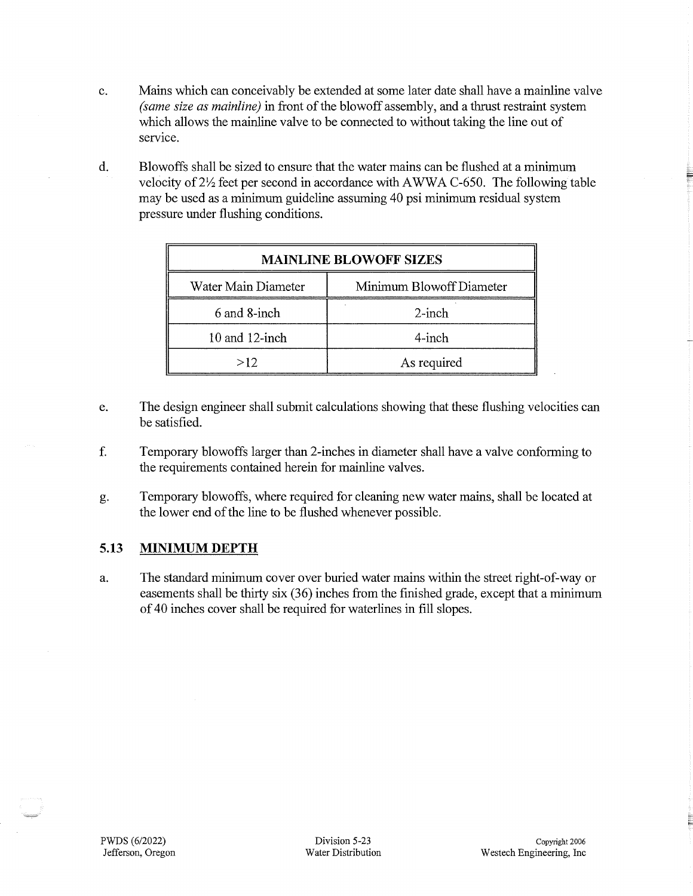- c. Mains which can conceivably be extended at some later date shall have a mainline valve *(same size as mainline)* in front of the blowoff assembly, and a thrust restraint system which allows the mainline valve to be connected to without taking the line out of service.
- d. Blowoffs shall be sized to ensure that the water mains can be flushed at a minimum velocity of 2Yz feet per second in accordance with A WW A C-650. The following table may be used as a minimum guideline assuming 40 psi minimum residual system pressure under flushing conditions.

| <b>MAINLINE BLOWOFF SIZES</b>                   |             |  |  |
|-------------------------------------------------|-------------|--|--|
| Water Main Diameter<br>Minimum Blowoff Diameter |             |  |  |
| 6 and 8-inch<br>$2$ -inch                       |             |  |  |
| 10 and 12-inch                                  | $4$ -inch   |  |  |
| >12                                             | As required |  |  |

- e. The design engineer shall submit calculations showing that these flushing velocities can be satisfied.
- f. Temporary blowoffs larger than 2-inches in diameter shall have a valve conforming to the requirements contained herein for mainline valves.
- g. Temporary blowoffs, where required for cleaning new water mains, shall be located at the lower end of the line to be flushed whenever possible.

#### **5.13 MINIMUM DEPTH**

a. The standard minimum cover over buried water mains within the street right-of-way or easements shall be thirty six (36) inches from the finished grade, except that a minimum of 40 inches cover shall be required for waterlines in fill slopes.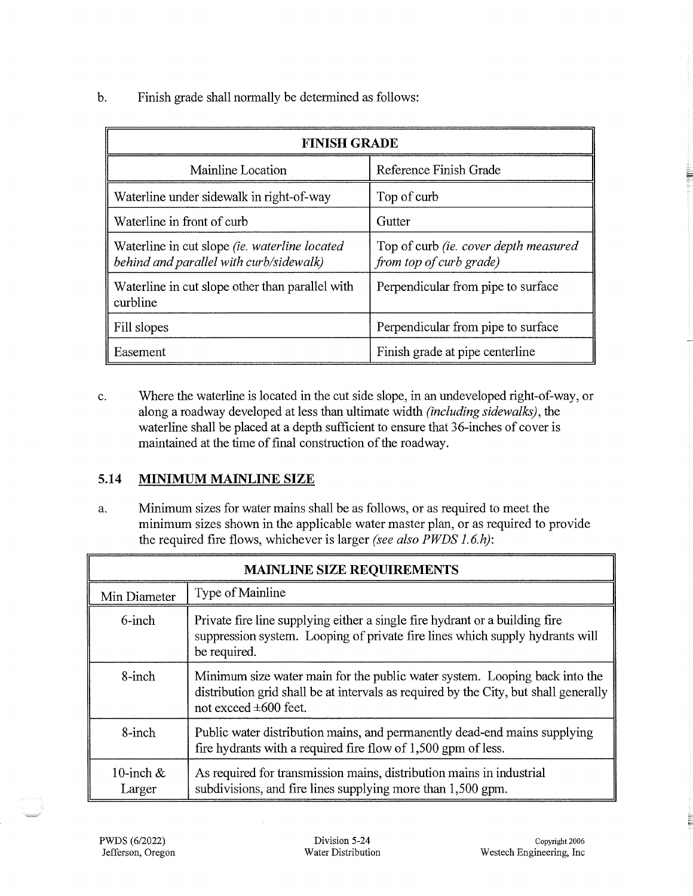b. Finish grade shall normally be determined as follows:

| <b>FINISH GRADE</b>                                                                             |                                                                  |  |  |
|-------------------------------------------------------------------------------------------------|------------------------------------------------------------------|--|--|
| Mainline Location                                                                               | Reference Finish Grade                                           |  |  |
| Waterline under sidewalk in right-of-way                                                        | Top of curb                                                      |  |  |
| Waterline in front of curb                                                                      | Gutter                                                           |  |  |
| Waterline in cut slope <i>(ie. waterline located</i><br>behind and parallel with curb/sidewalk) | Top of curb (ie. cover depth measured<br>from top of curb grade) |  |  |
| Waterline in cut slope other than parallel with<br>curbline                                     | Perpendicular from pipe to surface                               |  |  |
| Fill slopes                                                                                     | Perpendicular from pipe to surface                               |  |  |
| Easement                                                                                        | Finish grade at pipe centerline                                  |  |  |

c. Where the waterline is located in the cut side slope, in an undeveloped right-of-way, or along a roadway developed at less than ultimate width *(including sidewalks),* the waterline shall be placed at a depth sufficient to ensure that 36-inches of cover is maintained at the time of final construction of the roadway.

#### **5.14 MINIMUM MAINLINE SIZE**

a. Minimum sizes for water mains shall be as follows, or as required to meet the minimum sizes shown in the applicable water master plan, or as required to provide the required fire flows, whichever is larger *(see also PWDS* 1. *6.h):* 

| <b>MAINLINE SIZE REQUIREMENTS</b> |                                                                                                                                                                                                  |  |  |
|-----------------------------------|--------------------------------------------------------------------------------------------------------------------------------------------------------------------------------------------------|--|--|
| Min Diameter                      | Type of Mainline                                                                                                                                                                                 |  |  |
| $6$ -inch                         | Private fire line supplying either a single fire hydrant or a building fire<br>suppression system. Looping of private fire lines which supply hydrants will<br>be required.                      |  |  |
| 8-inch                            | Minimum size water main for the public water system. Looping back into the<br>distribution grid shall be at intervals as required by the City, but shall generally<br>not exceed $\pm 600$ feet. |  |  |
| $8$ -inch                         | Public water distribution mains, and permanently dead-end mains supplying<br>fire hydrants with a required fire flow of 1,500 gpm of less.                                                       |  |  |
| 10-inch $\&$<br>Larger            | As required for transmission mains, distribution mains in industrial<br>subdivisions, and fire lines supplying more than 1,500 gpm.                                                              |  |  |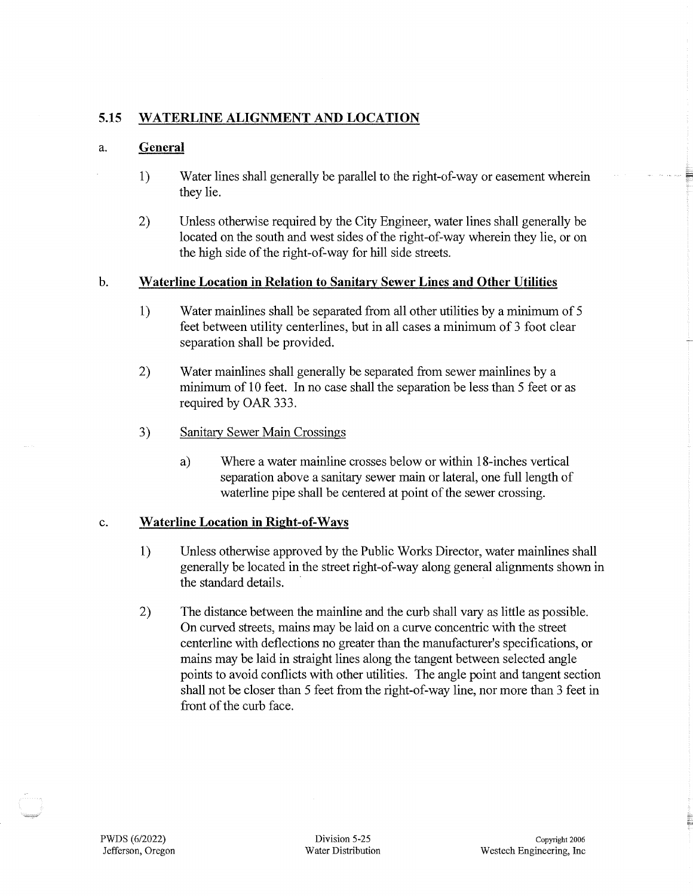### **5.15 WATERLINE ALIGNMENT AND LOCATION**

#### a. **General**

- 1) Water lines shall generally be parallel to the right-of-way or easement wherein they lie.
- 2) Unless otherwise required by the City Engineer, water lines shall generally be located on the south and west sides of the right-of-way wherein they lie, or on the high side of the right-of-way for hill side streets.

#### b. **Waterline Location in Relation to Sanitary Sewer Lines and Other Utilities**

- 1) Water mainlines shall be separated from all other utilities by a minimum of 5 feet between utility centerlines, but in all cases a minimum of 3 foot clear separation shall be provided.
- 2) Water mainlines shall generally be separated from sewer mainlines by a minimum of 10 feet. In no case shall the separation be less than 5 feet or as required by OAR 333.
- 3) Sanitary Sewer Main Crossings
	- a) Where a water mainline crosses below or within 18-inches vertical separation above a sanitary sewer main or lateral, one full length of waterline pipe shall be centered at point of the sewer crossing.

#### c. **Waterline Location in Right-of-Ways**

- 1) Unless otherwise approved by the Public Works Director, water mainlines shall generally be located in the street right-of-way along general alignments shown in the standard details.
- 2) The distance between the mainline and the curb shall vary as little as possible. On curved streets, mains may be laid on a curve concentric with the street centerline with deflections no greater than the manufacturer's specifications, or mains may be laid in straight lines along the tangent between selected angle points to avoid conflicts with other utilities. The angle point and tangent section shall not be closer than 5 feet from the right-of-way line, nor more than 3 feet in front of the curb face.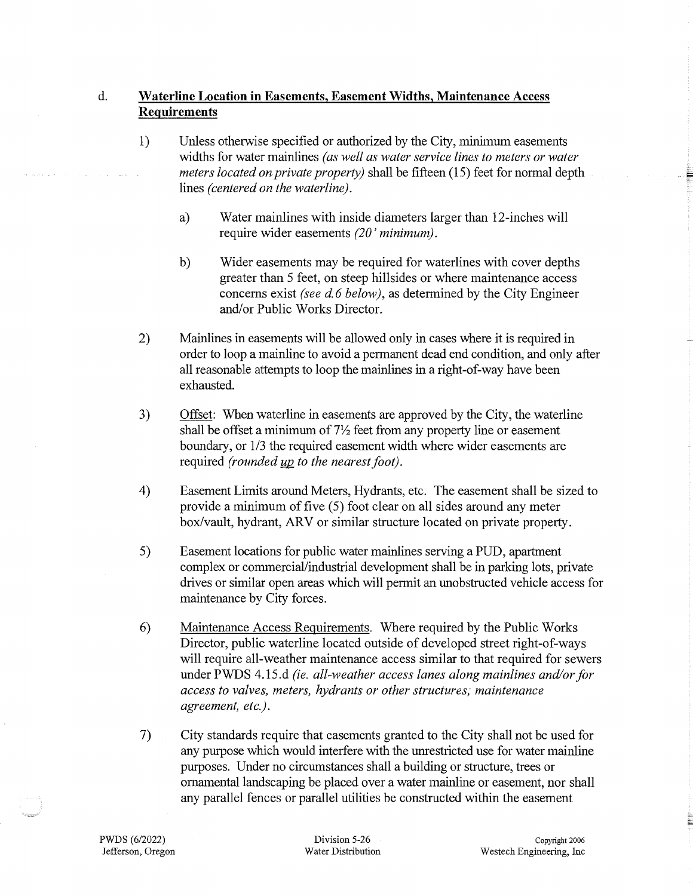# d. **Waterline Location in Easements, Easement Widths, Maintenance Access Requirements**

- 1) Unless otherwise specified or authorized by the City, minimum easements widths for water mainlines *(as well as water service lines to meters or water meters located on private property*) shall be fifteen (15) feet for normal depth lines *(centered on the waterline).* 
	- a) Water mainlines with inside diameters larger than 12-inches will require wider easements *(20' minimum).*
	- b) Wider easements may be required for waterlines with cover depths greater than 5 feet, on steep hillsides or where maintenance access concerns exist *(see d.6 below)*, as determined by the City Engineer and/or Public Works Director.
- 2) Mainlines in easements will be allowed only in cases where it is required in order to loop a mainline to avoid a permanent dead end condition, and only after all reasonable attempts to loop the mainlines in a right-of-way have been exhausted.
- 3) Offset: When waterline in easements are approved by the City, the waterline shall be offset a minimum of  $7\frac{1}{2}$  feet from any property line or easement boundary, or 1/3 the required easement width where wider easements are required *(rounded up to the nearest foot)*.
- 4) Easement Limits around Meters, Hydrants, etc. The easement shall be sized to provide a minimum of five (5) foot clear on all sides around any meter box/vault, hydrant, ARV or similar structure located on private property.
- 5) Easement locations for public water mainlines serving a PUD, apartment complex or commercial/industrial development shall be in parking lots, private drives or similar open areas which will permit an unobstructed vehicle access for maintenance by City forces.
- 6) Maintenance Access Requirements. Where required by the Public Works Director, public waterline located outside of developed street right-of-ways will require all-weather maintenance access similar to that required for sewers under PWDS 4.15.d *(ie. all-weather access lanes along mainlines and/or for access to valves, meters, hydrants or other structures; maintenance agreement, etc.).*
- 7) City standards require that easements granted to the City shall not be used for any purpose which would interfere with the unrestricted use for water mainline purposes. Under no circumstances shall a building or structure, trees or ornamental landscaping be placed over a water mainline or easement, nor shall any parallel fences or parallel utilities be constructed within the easement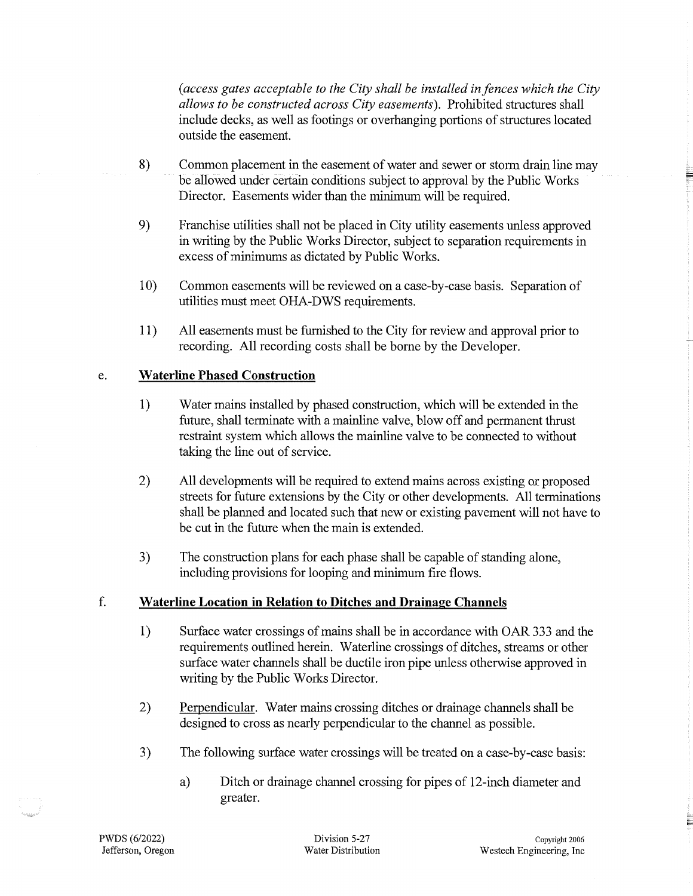*(access gates acceptable to the City shall be installed in fences which the City allows to be constructed across City easements).* Prohibited structures shall include decks, as well as footings or overhanging portions of structures located outside the easement.

- 8) Common placement in the easement of water and sewer or storm drain line may be allowed under certain conditions subject to approval by the Public Works Director. Easements wider than the minimum will be required.
- 9) Franchise utilities shall not be placed in City utility easements unless approved in writing by the Public Works Director, subject to separation requirements in excess of minimums as dictated by Public Works.
- 10) Common easements will be reviewed on a case-by-case basis. Separation of utilities must meet OHA-DWS requirements.
- 11) All easements must be furnished to the City for review and approval prior to recording. All recording costs shall be borne by the Developer.

#### e. **Waterline Phased Construction**

- 1) Water mains installed by phased construction, which will be extended in the future, shall terminate with a mainline valve, blow off and permanent thrust restraint system which allows the mainline valve to be connected to without taking the line out of service.
- 2) All developments will be required to extend mains across existing or proposed streets for future extensions by the City or other developments. All terminations shall be planned and located such that new or existing pavement will not have to be cut in the future when the main is extended.
- 3) The construction plans for each phase shall be capable of standing alone, including provisions for looping and minimum fire flows.

# f. **Waterline Location in Relation to Ditches and Drainage Channels**

- 1) Surface water crossings of mains shall be in accordance with OAR 333 and the requirements outlined herein. Waterline crossings of ditches, streams or other surface water channels shall be ductile iron pipe unless otherwise approved in writing by the Public Works Director.
- 2) Perpendicular. Water mains crossing ditches or drainage channels shall be designed to cross as nearly perpendicular to the channel as possible.
- 3) The following surface water crossings will be treated on a case-by-case basis:
	- a) Ditch or drainage channel crossing for pipes of 12-inch diameter and greater.

⋿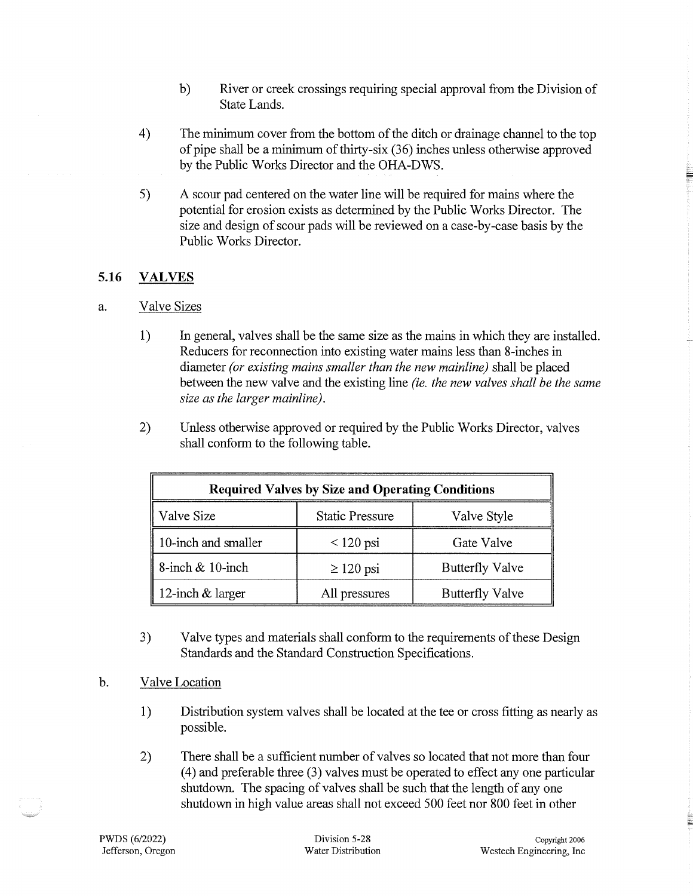- b) River or creek crossings requiring special approval from the Division of State Lands.
- 4) The minimum cover from the bottom of the ditch or drainage channel to the top of pipe shall be a minimum of thirty-six (36) inches unless otherwise approved by the Public Works Director and the OHA-DWS.
- 5) A scour pad centered on the water line will be required for mains where the potential for erosion exists as determined by the Public Works Director. The size and design of scour pads will be reviewed on a case-by-case basis by the Public Works Director.

# **5.16 VALVES**

- a. Valve Sizes
	- 1) In general, valves shall be the same size as the mains in which they are installed. Reducers for reconnection into existing water mains less than 8-inches in diameter *(or existing mains smaller than the new mainline)* shall be placed between the new valve and the existing line *(ie. the new valves shall be the same size as the larger mainline).*
	- 2) Unless otherwise approved or required by the Public Works Director, valves shall conform to the following table.

| <b>Required Valves by Size and Operating Conditions</b> |                |                        |  |  |
|---------------------------------------------------------|----------------|------------------------|--|--|
| Valve Size<br><b>Static Pressure</b><br>Valve Style     |                |                        |  |  |
| 10-inch and smaller                                     | $\leq$ 120 psi | Gate Valve             |  |  |
| 8-inch $& 10$ -inch<br>$\geq$ 120 psi                   |                | <b>Butterfly Valve</b> |  |  |
| 12-inch $&$ larger<br>All pressures                     |                | <b>Butterfly Valve</b> |  |  |

- 3) Valve types and materials shall conform to the requirements of these Design Standards and the Standard Construction Specifications.
- b. Valve Location
	- 1) Distribution system valves shall be located at the tee or cross fitting as nearly as possible.
	- 2) There shall be a sufficient number of valves so located that not more than four (4) and preferable three (3) valves must be operated to effect any one particular shutdown. The spacing of valves shall be such that the length of any one shutdown in high value areas shall not exceed 500 feet nor 800 feet in other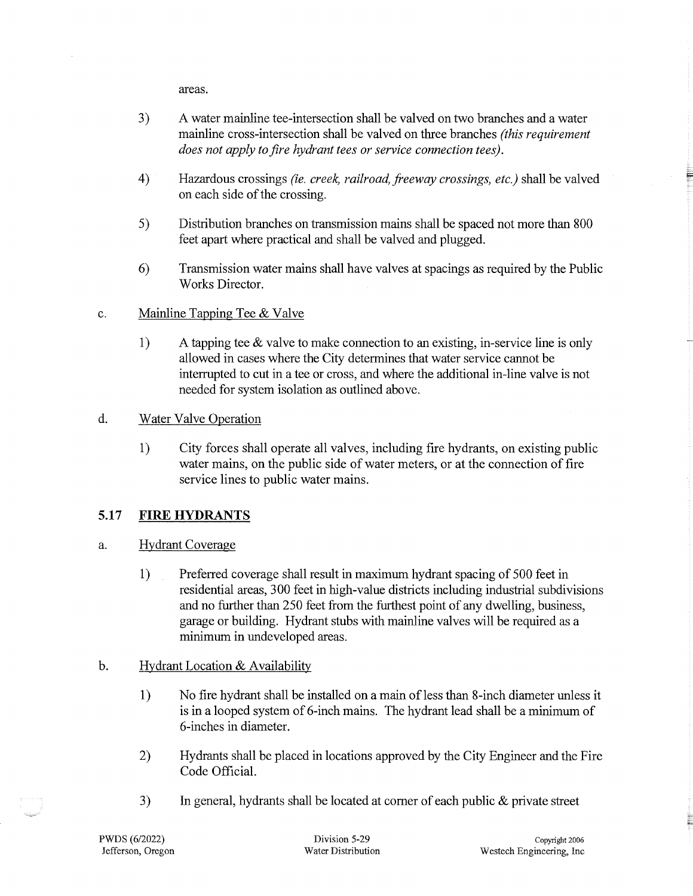areas.

- 3) A water mainline tee-intersection shall be valved on two branches and a water mainline cross-intersection shall be valved on three branches *(this requirement does not apply to fire hydrant tees or service connection tees).*
- 4) Hazardous crossings *(ie. creek, railroad, freeway crossings, etc.)* shall be valved on each side of the crossing.
- 5) Distribution branches on transmission mains shall be spaced not more than 800 feet apart where practical and shall be valved and plugged.
- 6) Transmission water mains shall have valves at spacings as required by the Public Works Director.

#### c. Mainline Tapping Tee & Valve

- 1) A tapping tee & valve to make connection to an existing, in-service line is only allowed in cases where the City determines that water service cannot be interrupted to cut in a tee or cross, and where the additional in-line valve is not needed for system isolation as outlined above.
- d. Water Valve Operation
	- 1) City forces shall operate all valves, including fire hydrants, on existing public water mains, on the public side of water meters, or at the connection of fire service lines to public water mains.

# **5.17 FIRE HYDRANTS**

- a. Hydrant Coverage
	- 1) Preferred coverage shall result in maximum hydrant spacing of 500 feet in residential areas, 300 feet in high-value districts including industrial subdivisions and no further than 250 feet from the furthest point of any dwelling, business, garage or building. Hydrant stubs with mainline valves will be required as a minimum in undeveloped areas.
- b. Hydrant Location & Availability
	- 1) No fire hydrant shall be installed on a main of less than 8-inch diameter unless it is in a looped system of 6-inch mains. The hydrant lead shall be a minimum of 6-inches in diameter.
	- 2) Hydrants shall be placed in locations approved by the City Engineer and the Fire Code Official.
	- 3) In general, hydrants shall be located at comer of each public & private street

È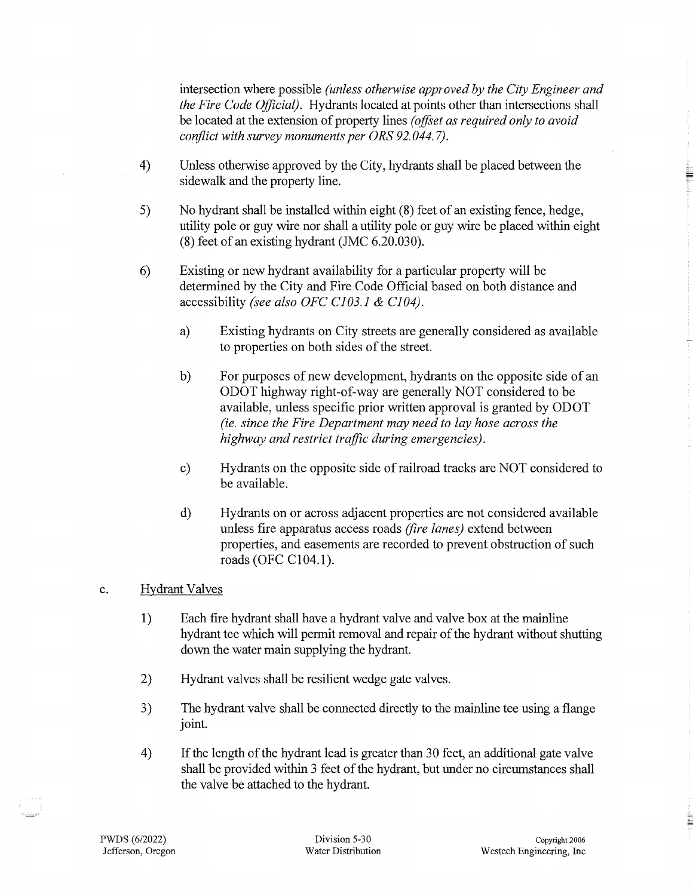intersection where possible *(unless otherwise approved by the City Engineer and the Fire Code Official).* Hydrants located at points other than intersections shall be located at the extension of property lines *(offset as required only to avoid conflict with survey monuments per ORS 92.044. 7).* 

- 4) Unless otherwise approved by the City, hydrants shall be placed between the sidewalk and the property line.
- 5) No hydrant shall be installed within eight (8) feet of an existing fence, hedge, utility pole or guy wire nor shall a utility pole or guy wire be placed within eight (8) feet of an existing hydrant (JMC 6.20.030).
- 6) Existing or new hydrant availability for a particular property will be determined by the City and Fire Code Official based on both distance and accessibility *(see also OFC CI03.I* & *CI04).* 
	- a) Existing hydrants on City streets are generally considered as available to properties on both sides of the street.
	- b) For purposes of new development, hydrants on the opposite side of an ODOT highway right-of-way are generally NOT considered to be available, unless specific prior written approval is granted by ODOT *(ie. since the Fire Department may need to lay hose across the highway and restrict traffic during emergencies).*
	- c) Hydrants on the opposite side of railroad tracks are NOT considered to be available.
	- d) Hydrants on or across adjacent properties are not considered available unless fire apparatus access roads *(fire lanes)* extend between properties, and easements are recorded to prevent obstruction of such roads (OFC C104.1).

#### c. Hydrant Valves

- 1) Each fire hydrant shall have a hydrant valve and valve box at the mainline hydrant tee which will permit removal and repair of the hydrant without shutting down the water main supplying the hydrant.
- 2) Hydrant valves shall be resilient wedge gate valves.
- 3) The hydrant valve shall be connected directly to the mainline tee using a flange joint.
- 4) If the length of the hydrant lead is greater than 30 feet, an additional gate valve shall be provided within 3 feet of the hydrant, but under no circumstances shall the valve be attached to the hydrant.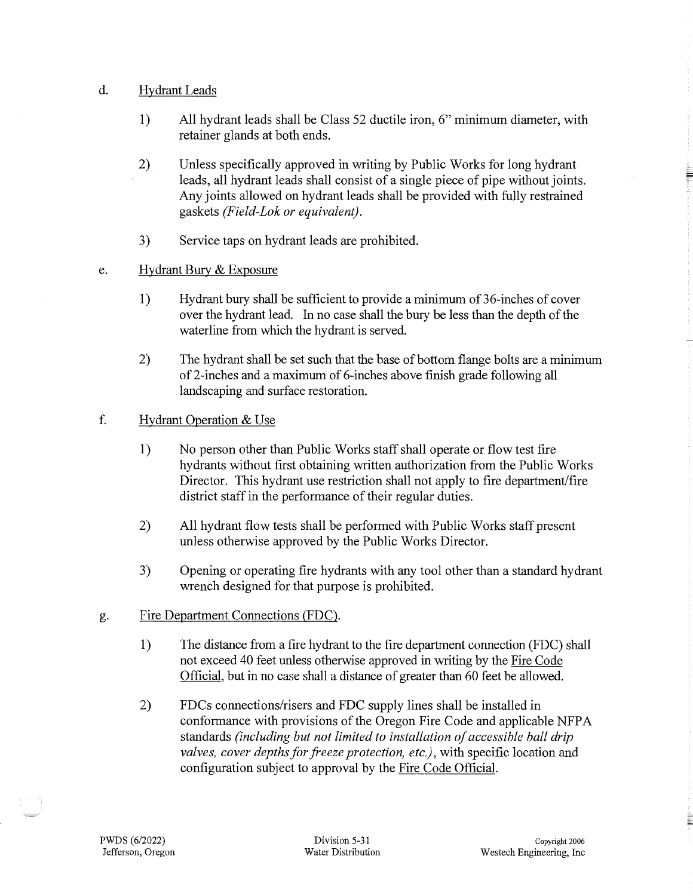### d. Hydrant Leads

- 1) All hydrant leads shall be Class 52 ductile iron, 6" minimum diameter, with retainer glands at both ends.
- 2) Unless specifically approved in writing by Public Works for long hydrant leads, all hydrant leads shall consist of a single piece of pipe without joints. Any joints allowed on hydrant leads shall be provided with fully restrained gaskets *(Field-Lok or equivalent).*
- 3) Service taps on hydrant leads are prohibited.
- e. Hydrant Bury & Exposure
	- 1) Hydrant bury shall be sufficient to provide a minimum of 36-inches of cover over the hydrant lead. In no case shall the bury be less than the depth of the waterline from which the hydrant is served.
	- 2) The hydrant shall be set such that the base of bottom flange bolts are a minimum of 2-inches and a maximum of 6-inches above finish grade following all landscaping and surface restoration.
- f. Hydrant Operation & Use
	- 1) No person other than Public Works staff shall operate or flow test fire hydrants without first obtaining written authorization from the Public Works Director. This hydrant use restriction shall not apply to fire department/fire district staff in the performance of their regular duties.
	- 2) All hydrant flow tests shall be performed with Public Works staff present unless otherwise approved by the Public Works Director.
	- 3) Opening or operating fire hydrants with any tool other than a standard hydrant wrench designed for that purpose is prohibited.
- g. Fire Department Connections (FDC).
	- 1) The distance from a fire hydrant to the fire department connection (FDC) shall not exceed 40 feet unless otherwise approved in writing by the Fire Code Official, but in no case shall a distance of greater than 60 feet be allowed.
	- 2) FDCs connections/risers and FDC supply lines shall be installed in conformance with provisions of the Oregon Fire Code and applicable NFP A standards *(including but not limited to installation of accessible ball drip valves, cover depths for freeze protection, etc.), with specific location and* configuration subject to approval by the Fire Code Official.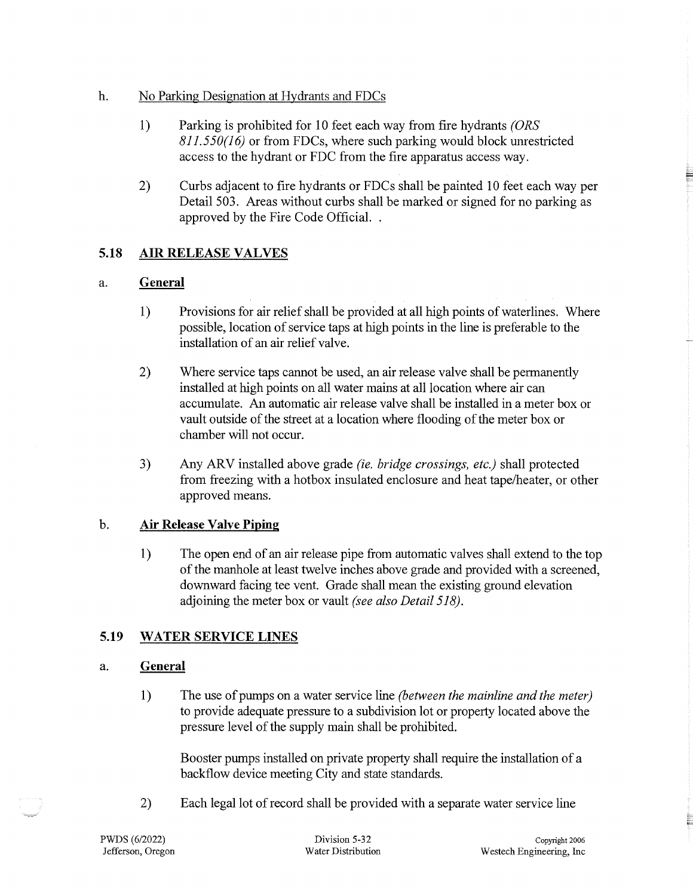### h. No Parking Designation at Hydrants and FDCs

- 1) Parking is prohibited for 10 feet each way from fire hydrants *(ORS 811.550(16)* or from FDCs, where such parking would block unrestricted access to the hydrant or FDC from the fire apparatus access way.
- 2) Curbs adjacent to fire hydrants or FDCs shall be painted 10 feet each way per Detail 503. Areas without curbs shall be marked or signed for no parking as approved by the Fire Code Official.

# **5.18 AIR RELEASE VALVES**

### a. **General**

- 1) Provisions for air relief shall be provided at all high points of waterlines. Where possible, location of service taps at high points in the line is preferable to the installation of an air relief valve.
- 2) Where service taps cannot be used, an air release valve shall be permanently installed at high points on all water mains at all location where air can accumulate. An automatic air release valve shall be installed in a meter box or vault outside of the street at a location where flooding of the meter box or chamber will not occur.
- 3) Any ARV installed above grade *(ie. bridge crossings, etc.)* shall protected from freezing with a hotbox insulated enclosure and heat tape/heater, or other approved means.

# b. **Air Release Valve Piping**

1) The open end of an air release pipe from automatic valves shall extend to the top of the manhole at least twelve inches above grade and provided with a screened, downward facing tee vent. Grade shall mean the existing ground elevation adjoining the meter box or vault *(see also Detail 518).* 

# **5.19 WATER SERVICE LINES**

#### a. **General**

1) The use of pumps on a water service line *(between the mainline and the meter)*  to provide adequate pressure to a subdivision lot or property located above the pressure level of the supply main shall be prohibited.

Booster pumps installed on private property shall require the installation of a backflow device meeting City and state standards.

2) Each legal lot of record shall be provided with a separate water service line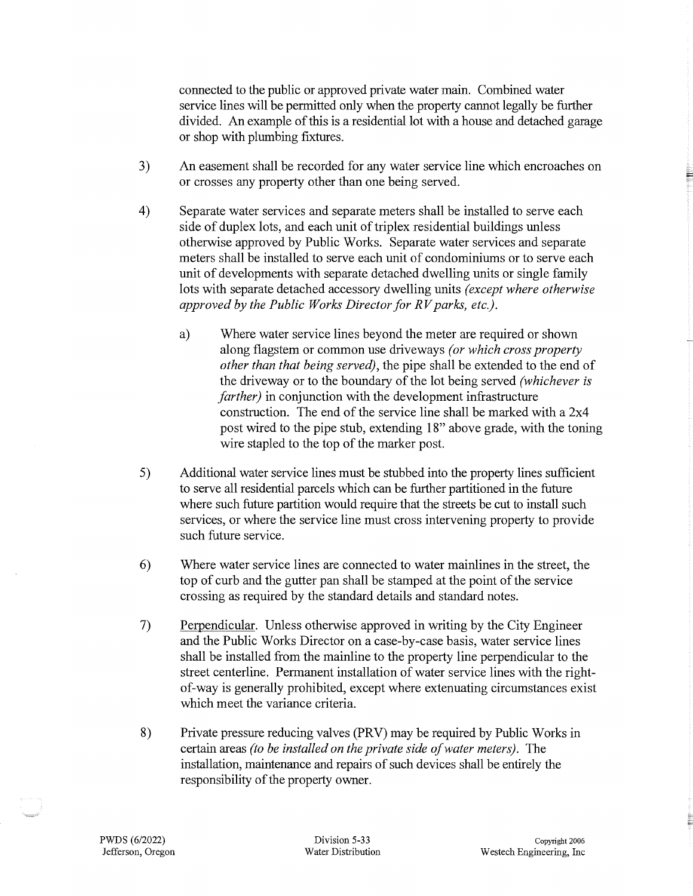connected to the public or approved private water main. Combined water service lines will be permitted only when the property cannot legally be further divided. An example of this is a residential lot with a house and detached garage or shop with plumbing fixtures.

- 3) An easement shall be recorded for any water service line which encroaches on or crosses any property other than one being served.
- 4) Separate water services and separate meters shall be installed to serve each side of duplex lots, and each unit of triplex residential buildings unless otherwise approved by Public Works. Separate water services and separate meters shall be installed to serve each unit of condominiums or to serve each unit of developments with separate detached dwelling units or single family lots with separate detached accessory dwelling units *(except where otherwise approved by the Public Works Director for RV parks, etc.).* 
	- a) Where water service lines beyond the meter are required or shown along flagstem or common use driveways *(or which cross property other than that being served),* the pipe shall be extended to the end of the driveway or to the boundary of the lot being served *(whichever is farther*) in conjunction with the development infrastructure construction. The end of the service line shall be marked with a 2x4 post wired to the pipe stub, extending 18" above grade, with the toning wire stapled to the top of the marker post.
- 5) Additional water service lines must be stubbed into the property lines sufficient to serve all residential parcels which can be further partitioned in the future where such future partition would require that the streets be cut to install such services, or where the service line must cross intervening property to provide such future service.
- 6) Where water service lines are connected to water mainlines in the street, the top of curb and the gutter pan shall be stamped at the point of the service crossing as required by the standard details and standard notes.
- 7) Perpendicular. Unless otherwise approved in writing by the City Engineer and the Public Works Director on a case-by-case basis, water service lines shall be installed from the mainline to the property line perpendicular to the street centerline. Permanent installation of water service lines with the rightof-way is generally prohibited, except where extenuating circumstances exist which meet the variance criteria.
- 8) Private pressure reducing valves (PRV) may be required by Public Works in certain areas *(to be installed on the private side of water meters).* The installation, maintenance and repairs of such devices shall be entirely the responsibility of the property owner.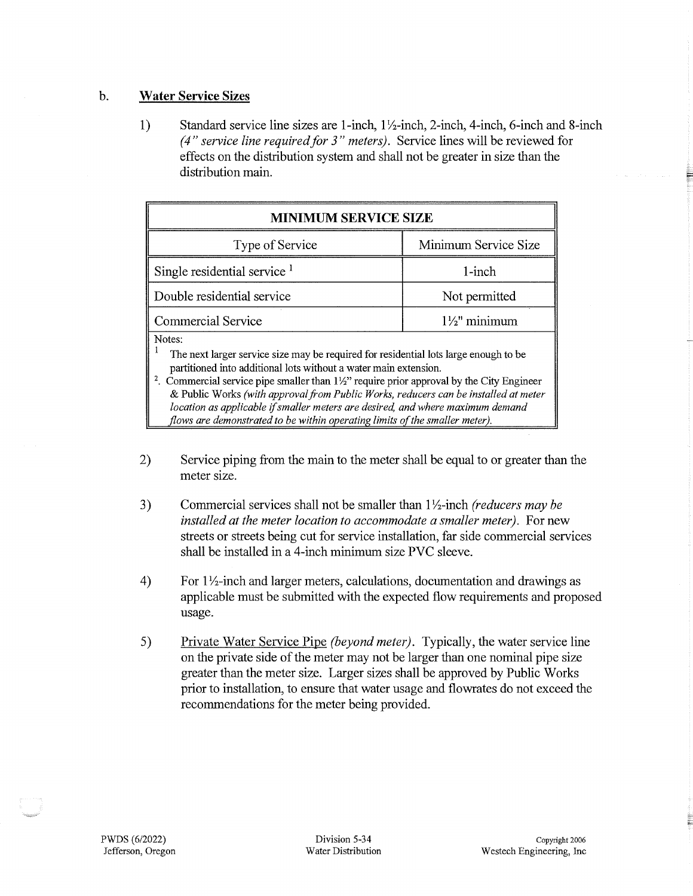#### b. **Water Service Sizes**

**1)**  Standard service line sizes are 1-inch,  $1\frac{1}{2}$ -inch, 2-inch, 4-inch, 6-inch and 8-inch *(4" service line required for 3" meters).* Service lines will be reviewed for effects on the distribution system and shall not be greater in size than the distribution main.

| <b>MINIMUM SERVICE SIZE</b>                                                                                                                                                                                                                                                                                                                                                                                                                                                                                                                    |  |  |  |  |
|------------------------------------------------------------------------------------------------------------------------------------------------------------------------------------------------------------------------------------------------------------------------------------------------------------------------------------------------------------------------------------------------------------------------------------------------------------------------------------------------------------------------------------------------|--|--|--|--|
| Minimum Service Size<br>Type of Service                                                                                                                                                                                                                                                                                                                                                                                                                                                                                                        |  |  |  |  |
| Single residential service <sup>1</sup><br>$1$ -inch                                                                                                                                                                                                                                                                                                                                                                                                                                                                                           |  |  |  |  |
| Double residential service<br>Not permitted                                                                                                                                                                                                                                                                                                                                                                                                                                                                                                    |  |  |  |  |
| $1\frac{1}{2}$ " minimum<br><b>Commercial Service</b>                                                                                                                                                                                                                                                                                                                                                                                                                                                                                          |  |  |  |  |
| Notes:<br>The next larger service size may be required for residential lots large enough to be<br>partitioned into additional lots without a water main extension.<br><sup>2</sup> . Commercial service pipe smaller than $1\frac{1}{2}$ " require prior approval by the City Engineer<br>& Public Works (with approval from Public Works, reducers can be installed at meter<br>location as applicable if smaller meters are desired, and where maximum demand<br>flows are demonstrated to be within operating limits of the smaller meter). |  |  |  |  |

- 2) Service piping from the main to the meter shall be equal to or greater than the meter size.
- 3) Commercial services shall not be smaller than 1 Yz-inch *(reducers may be installed at the meter location to accommodate a smaller meter).* For new streets or streets being cut for service installation, far side commercial services shall be installed in a 4-inch minimum size PVC sleeve.
- 4) For  $1\frac{1}{2}$ -inch and larger meters, calculations, documentation and drawings as applicable must be submitted with the expected flow requirements and proposed usage.
- 5) Private Water Service Pipe *(beyond meter).* Typically, the water service line on the private side of the meter may not be larger than one nominal pipe size greater than the meter size. Larger sizes shall be approved by Public Works prior to installation, to ensure that water usage and flowrates do not exceed the recommendations for the meter being provided.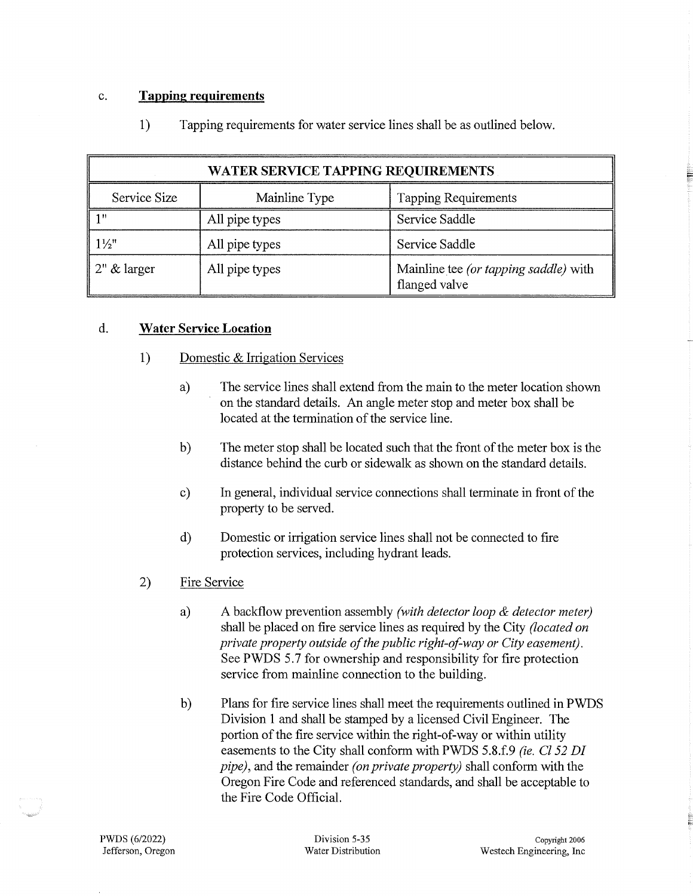### c. **Tapping requirements**

|  |  |  |  |  |  | Tapping requirements for water service lines shall be as outlined below. |
|--|--|--|--|--|--|--------------------------------------------------------------------------|
|--|--|--|--|--|--|--------------------------------------------------------------------------|

| <b>WATER SERVICE TAPPING REQUIREMENTS</b> |                |                                                        |
|-------------------------------------------|----------------|--------------------------------------------------------|
| Service Size                              | Mainline Type  | <b>Tapping Requirements</b>                            |
| ∥ 1‼                                      | All pipe types | Service Saddle                                         |
| $1\frac{1}{2}$ "                          | All pipe types | Service Saddle                                         |
| $2" \&$ larger                            | All pipe types | Mainline tee (or tapping saddle) with<br>flanged valve |

#### d. **Water Service Location**

- 1) Domestic & Irrigation Services
	- a) The service lines shall extend from the main to the meter location shown on the standard details. An angle meter stop and meter box shall be located at the termination of the service line.
	- b) The meter stop shall be located such that the front of the meter box is the distance behind the curb or sidewalk as shown on the standard details.
	- c) In general, individual service connections shall terminate in front of the property to be served.
	- d) Domestic or irrigation service lines shall not be connected to fire protection services, including hydrant leads.
- 2) Fire Service
	- a) A backflow prevention assembly *(with detector loop* & *detector meter)*  shall be placed on fire service lines as required by the City *(located on private property outside of the public right-of-way or City easement).*  See PWDS 5.7 for ownership and responsibility for fire protection service from mainline connection to the building.
	- b) Plans for fire service lines shall meet the requirements outlined in PWDS Division 1 and shall be stamped by a licensed Civil Engineer. The portion of the fire service within the right-of-way or within utility easements to the City shall conform with PWDS 5.8.f.9 *(ie. Cl 52 DI pipe),* and the remainder *(on private property)* shall conform with the Oregon Fire Code and referenced standards, and shall be acceptable to the Fire Code Official.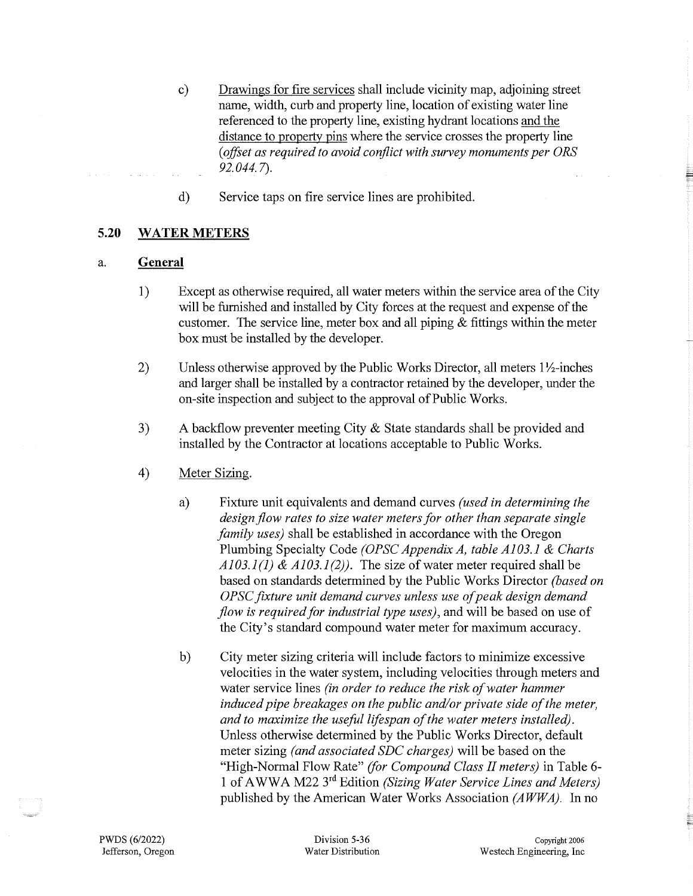- c) Drawings for fire services shall include vicinity map, adjoining street name, width, curb and property line, location of existing water line referenced to the property line, existing hydrant locations and the distance to property pins where the service crosses the property line ( *offeet as required to avoid conflict with survey monuments per ORS 92.044.* 7).
- d) Service taps on fire service lines are prohibited.

### **5.20 WATERMETERS**

#### a. **General**

- 1) Except as otherwise required, all water meters within the service area of the City will be furnished and installed by City forces at the request and expense of the customer. The service line, meter box and all piping & fittings within the meter box must be installed by the developer.
- 2) Unless otherwise approved by the Public Works Director, all meters  $1\frac{1}{2}$ -inches and larger shall be installed by a contractor retained by the developer, under the on-site inspection and subject to the approval of Public Works.
- 3) A backflow preventer meeting City & State standards shall be provided and installed by the Contractor at locations acceptable to Public Works.
- 4) Meter Sizing.
	- a) Fixture unit equivalents and demand curves *(used in determining the design flow rates to size water meters for other than separate single family uses)* shall be established in accordance with the Oregon Plumbing Specialty Code *(OPSC Appendix A, table Al 03.1* & *Charts Al03.l(l)* & *Al03.1(2)).* The size of water meter required shall be based on standards determined by the Public Works Director *(based on OPSC fixture unit demand curves unless use of peak design demand flow is required for industrial type uses),* and will be based on use of the City's standard compound water meter for maximum accuracy.
	- b) City meter sizing criteria will include factors to minimize excessive velocities in the water system, including velocities through meters and water service lines *(in order to reduce the risk of water hammer induced pipe breakages on the public and/or private side of the meter, and to maximize the useful lifespan of the water meters installed).*  Unless otherwise determined by the Public Works Director, default meter sizing *(and associated SDC charges)* will be based on the "High-Normal Flow Rate" *(for Compound Class II meters)* in Table 6- 1 of A WWA M22 3rd Edition *(Sizing Water Service Lines and Meters)*  published by the American Water Works Association *(AWWA).* In no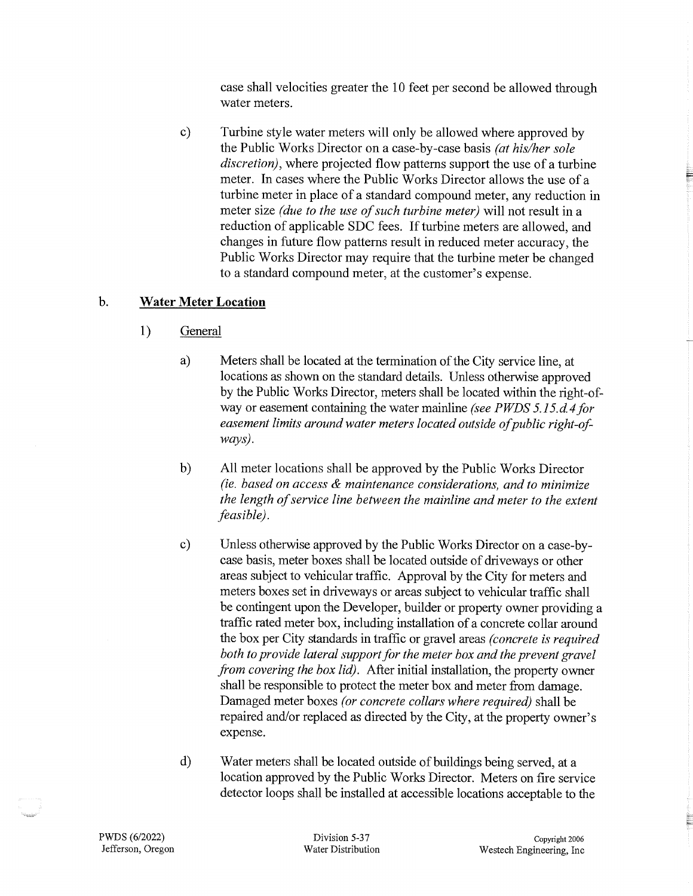case shall velocities greater the 10 feet per second be allowed through water meters.

c) Turbine style water meters will only be allowed where approved by the Public Works Director on a case-by-case basis *(at his/her sole discretion),* where projected flow patterns support the use of a turbine meter. In cases where the Public Works Director allows the use of <sup>a</sup> turbine meter in place of a standard compound meter, any reduction in meter size *(due to the use of such turbine meter)* will not result in <sup>a</sup> reduction of applicable SDC fees. If turbine meters are allowed, and changes in future flow patterns result in reduced meter accuracy, the Public Works Director may require that the turbine meter be changed to a standard compound meter, at the customer's expense.

# b. **Water Meter Location**

- 1) General
	- a) Meters shall be located at the termination of the City service line, at locations as shown on the standard details. Unless otherwise approved by the Public Works Director, meters shall be located within the right-ofway or easement containing the water mainline *(see P WDS 5.15. d 4 for easement limits around water meters located outside of public right-ofways).*
	- b) All meter locations shall be approved by the Public Works Director *(ie. based on access* & *maintenance considerations, and to minimize the length of service line between the mainline and meter to the extent feasible).*
	- c) Unless otherwise approved by the Public Works Director on a case-bycase basis, meter boxes shall be located outside of driveways or other areas subject to vehicular traffic. Approval by the City for meters and meters boxes set in driveways or areas subject to vehicular traffic shall be contingent upon the Developer, builder or property owner providing a traffic rated meter box, including installation of a concrete collar around the box per City standards in traffic or gravel areas *(concrete is required both to provide lateral support for the meter box and the prevent gravel from covering the box lid).* After initial installation, the property owner shall be responsible to protect the meter box and meter from damage. Damaged meter boxes *(or concrete collars where required)* shall be repaired and/or replaced as directed by the City, at the property owner's expense.
	- d) Water meters shall be located outside of buildings being served, at a location approved by the Public Works Director. Meters on fire service detector loops shall be installed at accessible locations acceptable to the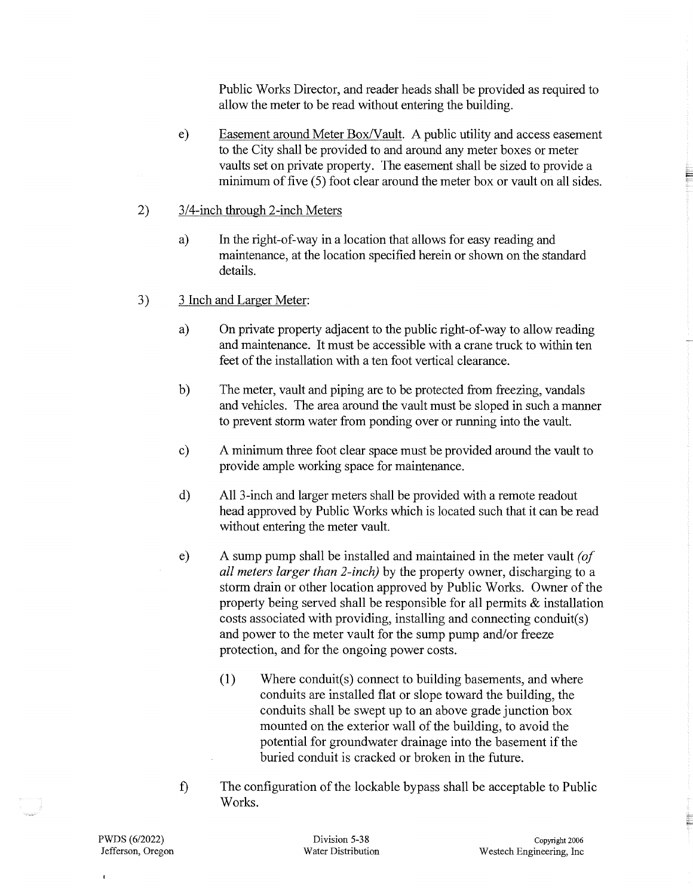Public Works Director, and reader heads shall be provided as required to allow the meter to be read without entering the building.

- e) Easement around Meter Box/Vault. A public utility and access easement to the City shall be provided to and around any meter boxes or meter vaults set on private property. The easement shall be sized to provide a minimum of five (5) foot clear around the meter box or vault on all sides.
- 2) 3/4-inch through 2-inch Meters
	- a) In the right-of-way in a location that allows for easy reading and maintenance, at the location specified herein or shown on the standard details.
- 3) 3 Inch and Larger Meter:
	- a) On private property adjacent to the public right-of-way to allow reading and maintenance. It must be accessible with a crane truck to within ten feet of the installation with a ten foot vertical clearance.
	- b) The meter, vault and piping are to be protected from freezing, vandals and vehicles. The area around the vault must be sloped in such a manner to prevent storm water from ponding over or running into the vault.
	- c) A minimum three foot clear space must be provided around the vault to provide ample working space for maintenance.
	- d) All 3-inch and larger meters shall be provided with a remote readout head approved by Public Works which is located such that it can be read without entering the meter vault.
	- e) A sump pump shall be installed and maintained in the meter vault *(of all meters larger than 2-inch)* by the property owner, discharging to a storm drain or other location approved by Public Works. Owner of the property being served shall be responsible for all permits & installation costs associated with providing, installing and connecting conduit(s) and power to the meter vault for the sump pump and/or freeze protection, and for the ongoing power costs.
		- (1) Where conduit(s) connect to building basements, and where conduits are installed flat or slope toward the building, the conduits shall be swept up to an above grade junction box mounted on the exterior wall of the building, to avoid the potential for groundwater drainage into the basement if the buried conduit is cracked or broken in the future.
	- f) The configuration of the lockable bypass shall be acceptable to Public Works.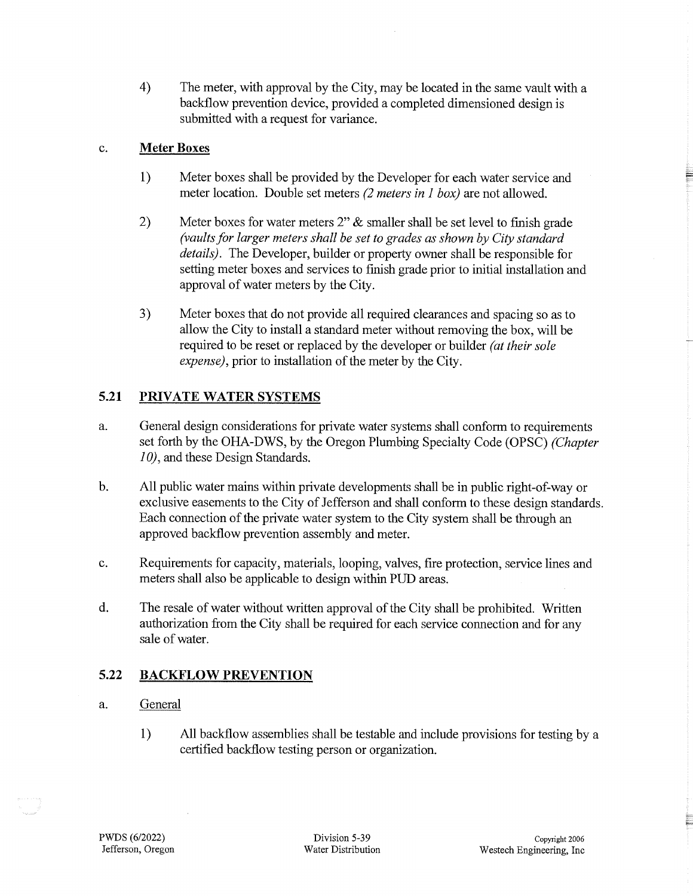4) The meter, with approval by the City, may be located in the same vault with a backflow prevention device, provided a completed dimensioned design is submitted with a request for variance.

# c. **Meter Boxes**

- 1) Meter boxes shall be provided by the Developer for each water service and meter location. Double set meters *(2 meters in 1 box)* are not allowed.
- 2) Meter boxes for water meters  $2$ "  $\&$  smaller shall be set level to finish grade *(vaults for larger meters shall be set to grades as shown by City standard details).* The Developer, builder or property owner shall be responsible for setting meter boxes and services to finish grade prior to initial installation and approval of water meters by the City.
- 3) Meter boxes that do not provide all required clearances and spacing so as to allow the City to install a standard meter without removing the box, will be required to be reset or replaced by the developer or builder *(at their sole expense),* prior to installation of the meter by the City.

# **5.21 PRIVATE WATER SYSTEMS**

- a. General design considerations for private water systems shall conform to requirements set forth by the OHA-DWS, by the Oregon Plumbing Specialty Code (OPSC) *(Chapter 10),* and these Design Standards.
- b. All public water mains within private developments shall be in public right-of-way or exclusive easements to the City of Jefferson and shall conform to these design standards. Each connection of the private water system to the City system shall be through an approved backflow prevention assembly and meter.
- c. Requirements for capacity, materials, looping, valves, fire protection, service lines and meters shall also be applicable to design within PUD areas.
- d. The resale of water without written approval of the City shall be prohibited. Written authorization from the City shall be required for each service connection and for any sale of water.

# **5.22 BACKFLOW PREVENTION**

#### a. General

1) All backflow assemblies shall be testable and include provisions for testing by a certified backflow testing person or organization.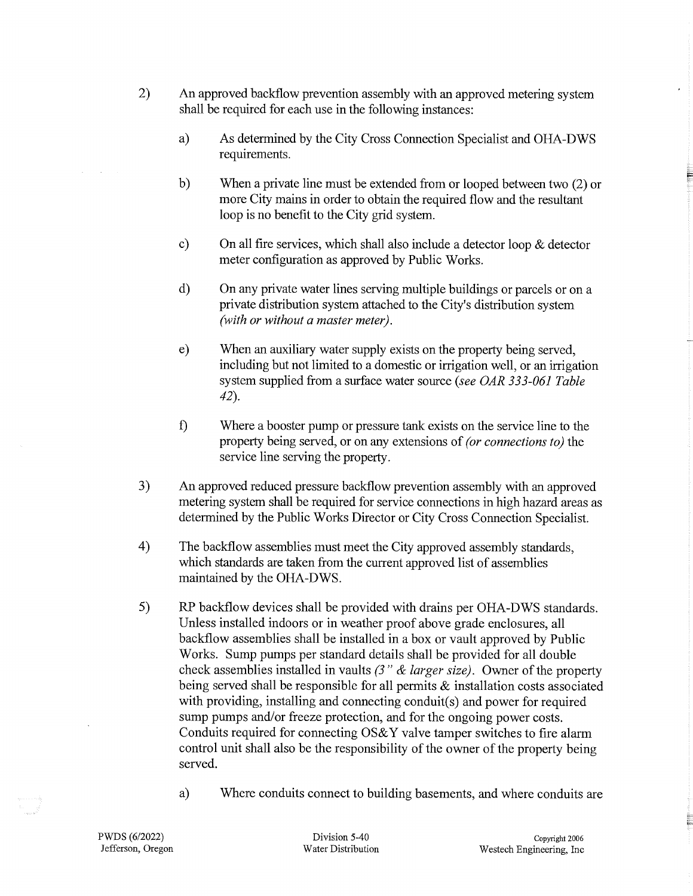- 2) An approved backflow prevention assembly with an approved metering system shall be required for each use in the following instances:
	- a) As determined by the City Cross Connection Specialist and OHA-DWS requirements.
	- b) When a private line must be extended from or looped between two (2) or more City mains in order to obtain the required flow and the resultant loop is no benefit to the City grid system.
	- c) On all fire services, which shall also include a detector loop  $\&$  detector meter configuration as approved by Public Works.
	- d) On any piivate water lines serving multiple buildings or parcels or on a private distribution system attached to the City's distribution system *(with or without a master meter).*
	- e) When an auxiliary water supply exists on the property being served, including but not limited to a domestic or irrigation well, or an irrigation system supplied from a surface water source *(see OAR 333-061 Table*  42).
	- f) Where a booster pump or pressure tank exists on the service line to the property being served, or on any extensions of *(or connections to)* the service line serving the property.
- 3) An approved reduced pressure backflow prevention assembly with an approved metering system shall be required for service connections in high hazard areas as determined by the Public Works Director or City Cross Connection Specialist.
- 4) The backflow assemblies must meet the City approved assembly standards, which standards are taken from the current approved list of assemblies maintained by the OHA-DWS.
- 5) RP backflow devices shall be provided with drains per OHA-DWS standards. Unless installed indoors or in weather proof above grade enclosures, all backflow assemblies shall be installed in a box or vault approved by Public Works. Sump pumps per standard details shall be provided for all double check assemblies installed in vaults *(3"* & *larger size).* Owner of the property being served shall be responsible for all permits & installation costs associated with providing, installing and connecting conduit(s) and power for required sump pumps and/or freeze protection, and for the ongoing power costs. Conduits required for connecting OS&Y valve tamper switches to fire alarm control unit shall also be the responsibility of the owner of the property being served.
	- a) Where conduits connect to building basements, and where conduits are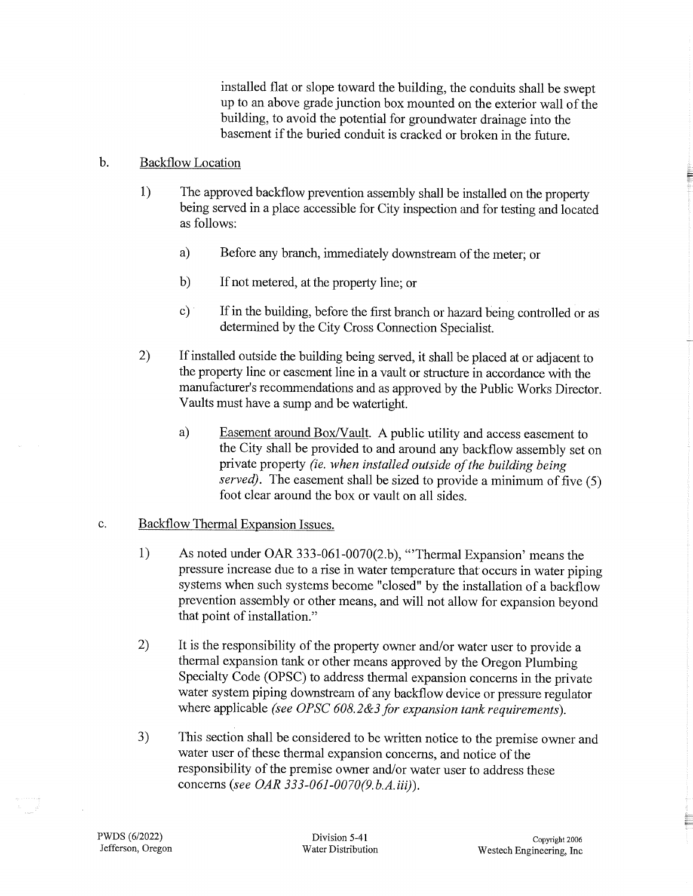installed flat or slope toward the building, the conduits shall be swept up to an above grade junction box mounted on the exterior wall of the building, to avoid the potential for groundwater drainage into the basement if the buried conduit is cracked or broken in the future.

#### b. Backflow Location

- 1) The approved backflow prevention assembly shall be installed on the property being served in a place accessible for City inspection and for testing and located as follows:
	- a) Before any branch, immediately downstream of the meter; or
	- b) If not metered, at the property line; or
	- c) If in the building, before the first branch or hazard being controlled or as determined by the City Cross Connection Specialist.
- 2) If installed outside the building being served, it shall be placed at or adjacent to the property line or easement line in a vault or structure in accordance with the manufacturer's recommendations and as approved by the Public Works Director. Vaults must have a sump and be watertight.
	- a) Easement around Box/Vault. A public utility and access easement to the City shall be provided to and around any backflow assembly set on private property *(ie. when installed outside of the building being served).* The easement shall be sized to provide a minimum of five (5) foot clear around the box or vault on all sides.

#### c. Backflow Thermal Expansion Issues.

- 1) As noted under OAR 333-061-0070(2.b), '"Thermal Expansion' means the pressure increase due to a rise in water temperature that occurs in water piping systems when such systems become "closed" by the installation of a backflow prevention assembly or other means, and will not allow for expansion beyond that point of installation."
- 2) It is the responsibility of the property owner and/or water user to provide a thermal expansion tank or other means approved by the Oregon Plumbing Specialty Code (OPSC) to address thermal expansion concerns in the private water system piping downstream of any backflow device or pressure regulator where applicable *(see OPSC 608.2&3 for expansion tank requirements).*
- 3) This section shall be considered to be written notice to the premise owner and water user of these thermal expansion concerns, and notice of the responsibility of the premise owner and/or water user to address these concerns *(see OAR 333-061-0070(9.b.A.iii)).*